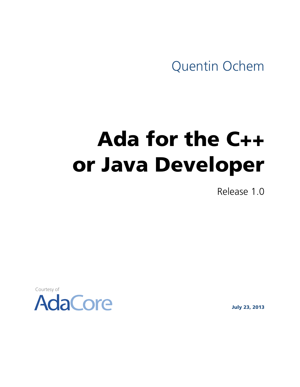Quentin Ochem

# Ada for the C++ or Java Developer

Release 1.0

Courtesy of



July 23, 2013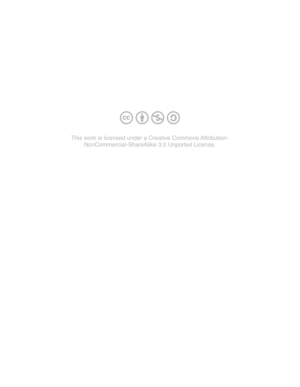

This work is licensed under a Creative Commons Attribution-NonCommercial-ShareAlike 3.0 Unported License.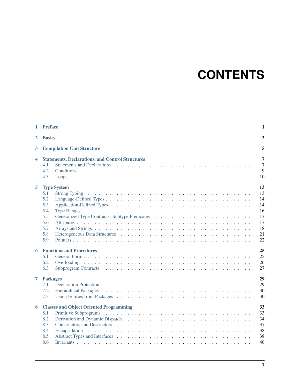# **CONTENTS**

|              | 1 Preface                                                                                                 | $\mathbf{1}$                                             |  |  |
|--------------|-----------------------------------------------------------------------------------------------------------|----------------------------------------------------------|--|--|
| $\mathbf{2}$ | <b>Basics</b>                                                                                             |                                                          |  |  |
| $\mathbf{3}$ | <b>Compilation Unit Structure</b>                                                                         |                                                          |  |  |
| 4            | <b>Statements, Declarations, and Control Structures</b><br>4.1<br>4.2<br>4.3                              | 7<br>$\overline{7}$<br>9<br>10                           |  |  |
| 5            | <b>Type System</b><br>5.1<br><b>Strong Typing</b><br>5.2<br>5.3<br>5.4<br>5.5<br>5.6<br>5.7<br>5.8<br>5.9 | 13<br>13<br>14<br>14<br>16<br>17<br>17<br>18<br>21<br>22 |  |  |
| 6            | <b>Functions and Procedures</b><br>6.1<br>6.2<br>6.3                                                      | 25<br>25<br>26<br>27                                     |  |  |
| 7            | <b>Packages</b><br>7.1<br>7.2<br>7.3                                                                      | 29<br>29<br>30<br>30                                     |  |  |
| 8            | <b>Classes and Object Oriented Programming</b><br>8.1<br>8.2<br>8.3<br>8.4<br>8.5<br>8.6                  | 33<br>33<br>34<br>37<br>38<br>38<br>40                   |  |  |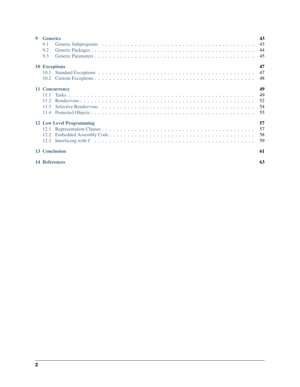| $\mathbf Q$                     | <b>Generics</b>      | 43 |  |
|---------------------------------|----------------------|----|--|
|                                 | 9.1                  | 43 |  |
|                                 | 9.2                  | 44 |  |
|                                 | 9.3                  | 45 |  |
|                                 | <b>10 Exceptions</b> | 47 |  |
|                                 |                      | 47 |  |
|                                 |                      | 48 |  |
|                                 | 49<br>11 Concurrency |    |  |
|                                 | 11.1                 | 49 |  |
|                                 | 11.2.                | 52 |  |
|                                 | 11.3                 | 54 |  |
|                                 | 11.4                 | 55 |  |
| <b>12 Low Level Programming</b> |                      |    |  |
|                                 |                      | 57 |  |
|                                 |                      | 58 |  |
|                                 | 12.3                 | 59 |  |
|                                 | <b>13 Conclusion</b> | 61 |  |
|                                 | <b>14 References</b> | 63 |  |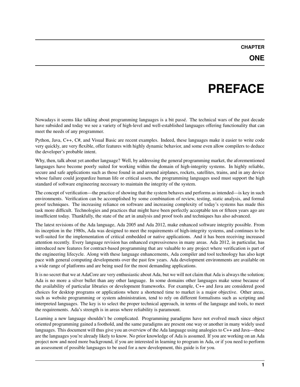### **PREFACE**

<span id="page-5-0"></span>Nowadays it seems like talking about programming languages is a bit passé. The technical wars of the past decade have subsided and today we see a variety of high-level and well-established languages offering functionality that can meet the needs of any programmer.

Python, Java, C++, C#, and Visual Basic are recent examples. Indeed, these languages make it easier to write code very quickly, are very flexible, offer features with highly dynamic behavior, and some even allow compilers to deduce the developer's probable intent.

Why, then, talk about yet another language? Well, by addressing the general programming market, the aforementioned languages have become poorly suited for working within the domain of high-integrity systems. In highly reliable, secure and safe applications such as those found in and around airplanes, rockets, satellites, trains, and in any device whose failure could jeopardize human life or critical assets, the programming languages used must support the high standard of software engineering necessary to maintain the integrity of the system.

The concept of verification—the practice of showing that the system behaves and performs as intended—is key in such environments. Verification can be accomplished by some combination of review, testing, static analysis, and formal proof techniques. The increasing reliance on software and increasing complexity of today's systems has made this task more difficult. Technologies and practices that might have been perfectly acceptable ten or fifteen years ago are insufficient today. Thankfully, the state of the art in analysis and proof tools and techniques has also advanced.

The latest revisions of the Ada language, Ada 2005 and Ada 2012, make enhanced software integrity possible. From its inception in the 1980s, Ada was designed to meet the requirements of high-integrity systems, and continues to be well-suited for the implementation of critical embedded or native applications. And it has been receiving increased attention recently. Every language revision has enhanced expressiveness in many areas. Ada 2012, in particular, has introduced new features for contract-based programming that are valuable to any project where verification is part of the engineering lifecycle. Along with these language enhancements, Ada compiler and tool technology has also kept pace with general computing developments over the past few years. Ada development environments are available on a wide range of platforms and are being used for the most demanding applications.

It is no secret that we at AdaCore are very enthusiastic about Ada, but we will not claim that Ada is always the solution; Ada is no more a silver bullet than any other language. In some domains other languages make sense because of the availability of particular libraries or development frameworks. For example, C++ and Java are considered good choices for desktop programs or applications where a shortened time to market is a major objective. Other areas, such as website programming or system administration, tend to rely on different formalisms such as scripting and interpreted languages. The key is to select the proper technical approach, in terms of the language and tools, to meet the requirements. Ada's strength is in areas where reliability is paramount.

Learning a new language shouldn't be complicated. Programming paradigms have not evolved much since object oriented programming gained a foothold, and the same paradigms are present one way or another in many widely used languages. This document will thus give you an overview of the Ada language using analogies to C++ and Java—these are the languages you're already likely to know. No prior knowledge of Ada is assumed. If you are working on an Ada project now and need more background, if you are interested in learning to program in Ada, or if you need to perform an assessment of possible languages to be used for a new development, this guide is for you.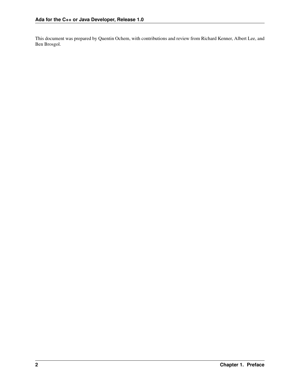This document was prepared by Quentin Ochem, with contributions and review from Richard Kenner, Albert Lee, and Ben Brosgol.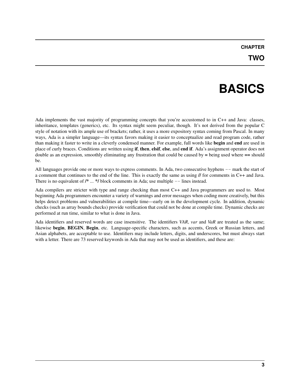# **BASICS**

<span id="page-7-0"></span>Ada implements the vast majority of programming concepts that you're accustomed to in C++ and Java: classes, inheritance, templates (generics), etc. Its syntax might seem peculiar, though. It's not derived from the popular C style of notation with its ample use of brackets; rather, it uses a more expository syntax coming from Pascal. In many ways, Ada is a simpler language—its syntax favors making it easier to conceptualize and read program code, rather than making it faster to write in a cleverly condensed manner. For example, full words like begin and end are used in place of curly braces. Conditions are written using if, then, elsif, else, and end if. Ada's assignment operator does not double as an expression, smoothly eliminating any frustration that could be caused by = being used where == should be.

All languages provide one or more ways to express comments. In Ada, two consecutive hyphens  $--$  mark the start of a comment that continues to the end of the line. This is exactly the same as using // for comments in C++ and Java. There is no equivalent of  $/* \dots */$  block comments in Ada; use multiple  $--$  lines instead.

Ada compilers are stricter with type and range checking than most C++ and Java programmers are used to. Most beginning Ada programmers encounter a variety of warnings and error messages when coding more creatively, but this helps detect problems and vulnerabilities at compile time—early on in the development cycle. In addition, dynamic checks (such as array bounds checks) provide verification that could not be done at compile time. Dynamic checks are performed at run time, similar to what is done in Java.

Ada identifiers and reserved words are case insensitive. The identifiers *VAR*, *var* and *VaR* are treated as the same; likewise begin, BEGIN, Begin, etc. Language-specific characters, such as accents, Greek or Russian letters, and Asian alphabets, are acceptable to use. Identifiers may include letters, digits, and underscores, but must always start with a letter. There are 73 reserved keywords in Ada that may not be used as identifiers, and these are: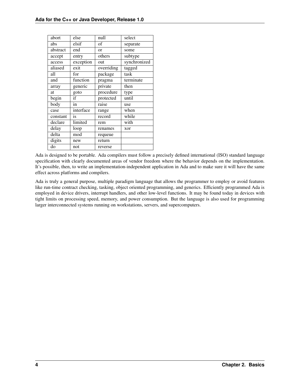| abort    | else      | null       | select       |
|----------|-----------|------------|--------------|
| abs      | elsif     | of         | separate     |
| abstract | end       | $\alpha$   | some         |
| accept   | entry     | others     | subtype      |
| access   | exception | out        | synchronized |
| aliased  | exit      | overriding | tagged       |
| all      | for       | package    | task         |
| and      | function  | pragma     | terminate    |
| array    | generic   | private    | then         |
| at       | goto      | procedure  | type         |
| begin    | if        | protected  | until        |
| body     | in        | raise      | use          |
| case     | interface | range      | when         |
| constant | is        | record     | while        |
| declare  | limited   | rem        | with         |
| delay    | loop      | renames    | xor          |
| delta    | mod       | requeue    |              |
| digits   | new       | return     |              |
| do       | not       | reverse    |              |

Ada is designed to be portable. Ada compilers must follow a precisely defined international (ISO) standard language specification with clearly documented areas of vendor freedom where the behavior depends on the implementation. It's possible, then, to write an implementation-independent application in Ada and to make sure it will have the same effect across platforms and compilers.

Ada is truly a general purpose, multiple paradigm language that allows the programmer to employ or avoid features like run-time contract checking, tasking, object oriented programming, and generics. Efficiently programmed Ada is employed in device drivers, interrupt handlers, and other low-level functions. It may be found today in devices with tight limits on processing speed, memory, and power consumption. But the language is also used for programming larger interconnected systems running on workstations, servers, and supercomputers.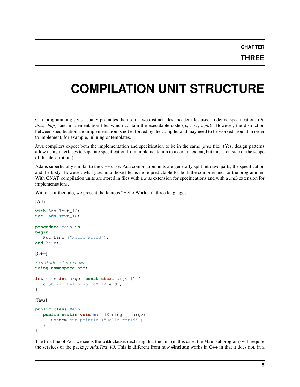**THREE**

# <span id="page-9-0"></span>**COMPILATION UNIT STRUCTURE**

C++ programming style usually promotes the use of two distinct files: header files used to define specifications (*.h*, *.hxx*, *.hpp*), and implementation files which contain the executable code (*.c*, *.cxx*, *.cpp*). However, the distinction between specification and implementation is not enforced by the compiler and may need to be worked around in order to implement, for example, inlining or templates.

Java compilers expect both the implementation and specification to be in the same *.java* file. (Yes, design patterns allow using interfaces to separate specification from implementation to a certain extent, but this is outside of the scope of this description.)

Ada is superficially similar to the C++ case: Ada compilation units are generally split into two parts, the specification and the body. However, what goes into those files is more predictable for both the compiler and for the programmer. With GNAT, compilation units are stored in files with a *.ads* extension for specifications and with a *.adb* extension for implementations.

Without further ado, we present the famous "Hello World" in three languages:

```
[Ada]
with Ada.Text_IO;
use Ada.Text_IO;
procedure Main is
begin
   Put_Line ("Hello World");
end Main;
[C++]#include <iostream>
using namespace std;
int main(int argc, const char* argv[]) {
   cout << "Hello World" << endl;
}
[Java]
public class Main {
  public static void main(String [] argv) {
      System.out.println ("Hello World");
   }
}
```
The first line of Ada we see is the with clause, declaring that the unit (in this case, the Main subprogram) will require the services of the package *Ada.Text\_IO*. This is different from how #include works in C++ in that it does not, in a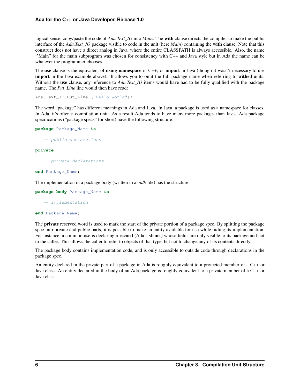logical sense, copy/paste the code of *Ada.Text IO* into *Main*. The **with** clause directs the compiler to make the public interface of the *Ada.Text IO* package visible to code in the unit (here *Main*) containing the **with** clause. Note that this construct does not have a direct analog in Java, where the entire CLASSPATH is always accessible. Also, the name ''Main" for the main subprogram was chosen for consistency with C++ and Java style but in Ada the name can be whatever the programmer chooses.

The use clause is the equivalent of using namespace in C++, or import in Java (though it wasn't necessary to use import in the Java example above). It allows you to omit the full package name when referring to withed units. Without the use clause, any reference to *Ada.Text IO* items would have had to be fully qualified with the package name. The *Put\_Line* line would then have read:

Ada.Text\_IO.Put\_Line ("Hello World");

The word "package" has different meanings in Ada and Java. In Java, a package is used as a namespace for classes. In Ada, it's often a compilation unit. As a result Ada tends to have many more packages than Java. Ada package specifications ("package specs" for short) have the following structure:

```
package Package_Name is
```
-- public declarations

#### **private**

-- private declarations

**end** Package\_Name;

The implementation in a package body (written in a *.adb* file) has the structure:

**package body** Package\_Name **is**

-- implementation

#### **end** Package\_Name;

The **private** reserved word is used to mark the start of the private portion of a package spec. By splitting the package spec into private and public parts, it is possible to make an entity available for use while hiding its implementation. For instance, a common use is declaring a **record** (Ada's **struct**) whose fields are only visible to its package and not to the caller. This allows the caller to refer to objects of that type, but not to change any of its contents directly.

The package body contains implementation code, and is only accessible to outside code through declarations in the package spec.

An entity declared in the private part of a package in Ada is roughly equivalent to a protected member of a C++ or Java class. An entity declared in the body of an Ada package is roughly equivalent to a private member of a C++ or Java class.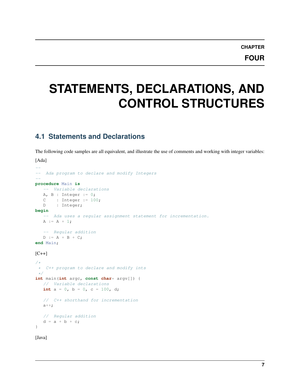# <span id="page-11-0"></span>**STATEMENTS, DECLARATIONS, AND CONTROL STRUCTURES**

### <span id="page-11-1"></span>**4.1 Statements and Declarations**

The following code samples are all equivalent, and illustrate the use of comments and working with integer variables: [Ada]

```
--
-- Ada program to declare and modify Integers
--
procedure Main is
  -- Variable declarations
  A, B : Integer := 0;
  C: Integer := 100;
  D : Integer;
begin
  -- Ada uses a regular assignment statement for incrementation.
  A := A + 1;-- Regular addition
  D := A + B + C;end Main;
[C++]/*
 * C++ program to declare and modify ints
 */
int main(int argc, const char* argv[]) {
  // Variable declarations
  int a = 0, b = 0, c = 100, d;
   // C++ shorthand for incrementation
   a++;
   // Regular addition
   d = a + b + c;}
```

```
[Java]
```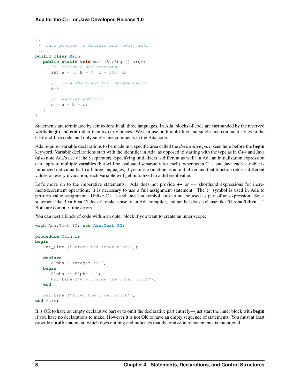```
/*
    Java program to declare and modify ints
 */
public class Main {
  public static void main(String [] argv) {
      // Variable declarations
      int a = 0, b = 0, c = 100, d;
      // Java shorthand for incrementation
      a++;// Regular addition
      d = a + b + c;}
}
```
Statements are terminated by semicolons in all three languages. In Ada, blocks of code are surrounded by the reserved words begin and end rather than by curly braces. We can use both multi-line and single-line comment styles in the C++ and Java code, and only single-line comments in the Ada code.

Ada requires variable declarations to be made in a specific area called the *declarative part*, seen here before the begin keyword. Variable declarations start with the identifier in Ada, as opposed to starting with the type as in C++ and Java (also note Ada's use of the : separator). Specifying initializers is different as well: in Ada an initialization expression can apply to multiple variables (but will be evaluated separately for each), whereas in C++ and Java each variable is initialized individually. In all three languages, if you use a function as an initializer and that function returns different values on every invocation, each variable will get initialized to a different value.

Let's move on to the imperative statements. Ada does not provide  $++$  or  $--$  shorthand expressions for increment/decrement operations; it is necessary to use a full assignment statement. The := symbol is used in Ada to perform value assignment. Unlike C++'s and Java's = symbol, := can not be used as part of an expression. So, a statement like  $A := B := C$ ; doesn't make sense to an Ada compiler, and neither does a clause like "if  $A := B$  then ...." Both are compile-time errors.

You can nest a block of code within an outer block if you want to create an inner scope:

```
with Ada.Text_IO; use Ada.Text_IO;
procedure Main is
begin
   Put_Line ("Before the inner block");
   declare
      Alpha : Integer := 0;
   begin
      Alpha := Alpha + 1;
      Put_Line ("Now inside the inner block");
   end;
   Put_Line ("After the inner block");
end Main;
```
It is OK to have an empty declarative part or to omit the declarative part entirely—just start the inner block with begin if you have no declarations to make. However it is not OK to have an empty sequence of statements. You must at least provide a null; statement, which does nothing and indicates that the omission of statements is intentional.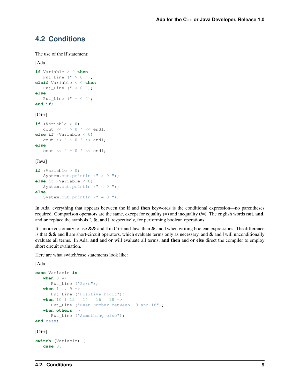### <span id="page-13-0"></span>**4.2 Conditions**

The use of the if statement:

```
[Ada]
if Variable > 0 then
   Put Line (" > 0 ");elsif Variable < 0 then
  Put_Line (" < 0 ");
else
  Put_Line (" = 0 ");end if;
[C++]if (Variable > 0)
  cout \ll " > 0 " \ll endl;
else if (Variable < 0)
  cout << " < 0 " << endl;
else
  cout << " = 0 " << endl;
```
[Java]

```
if (Variable > 0)
   System.out.println (" > 0 ");
else if (Variable < 0)
  System.out.println (" < 0 ");
else
   System.out.println (" = 0 ");
```
In Ada, everything that appears between the if and then keywords is the conditional expression—no parentheses required. Comparison operators are the same, except for equality  $(=)$  and inequality  $(=)$ . The english words **not**, and, and or replace the symbols  $!, \&$ , and  $\vert$ , respectively, for performing boolean operations.

It's more customary to use  $\&\&$  and  $\parallel$  in C++ and Java than  $\&$  and  $\parallel$  when writing boolean expressions. The difference is that  $&\&$  and  $\parallel$  are short-circuit operators, which evaluate terms only as necessary, and  $&$  and  $\parallel$  will unconditionally evaluate all terms. In Ada, and and or will evaluate all terms; and then and or else direct the compiler to employ short circuit evaluation.

Here are what switch/case statements look like:

```
[Ada]
```

```
case Variable is
  when 0 \RightarrowPut_Line ("Zero");
   when 1 . . 9 =>
     Put_Line ("Positive Digit");
  when 10 | 12 | 14 | 16 | 18 =>
     Put_Line ("Even Number between 10 and 18");
   when others =>
     Put_Line ("Something else");
end case;
[C++]switch (Variable) {
   case 0:
```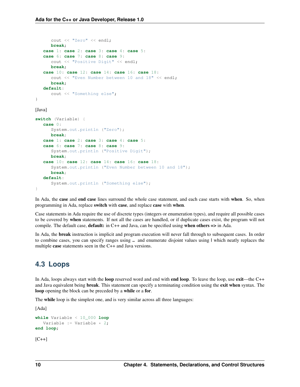```
cout << "Zero" << endl;
     break;
   case 1: case 2: case 3: case 4: case 5:
   case 6: case 7: case 8: case 9:
      cout << "Positive Digit" << endl;
      break;
   case 10: case 12: case 14: case 16: case 18:
      cout << "Even Number between 10 and 18" << endl;
      break;
   default:
      cout << "Something else";
}
[Java]
switch (Variable) {
   case 0:
     System.out.println ("Zero");
     break;
   case 1: case 2: case 3: case 4: case 5:
   case 6: case 7: case 8: case 9:
      System.out.println ("Positive Digit");
      break;
   case 10: case 12: case 14: case 16: case 18:
      System.out.println ("Even Number between 10 and 18");
      break;
   default:
      System.out.println ("Something else");
}
```
In Ada, the case and end case lines surround the whole case statement, and each case starts with when. So, when programming in Ada, replace switch with case, and replace case with when.

Case statements in Ada require the use of discrete types (integers or enumeration types), and require all possible cases to be covered by when statements. If not all the cases are handled, or if duplicate cases exist, the program will not compile. The default case, default: in C++ and Java, can be specified using when others => in Ada.

In Ada, the break instruction is implicit and program execution will never fall through to subsequent cases. In order to combine cases, you can specify ranges using ... and enumerate disjoint values using I which neatly replaces the multiple case statements seen in the C++ and Java versions.

#### <span id="page-14-0"></span>**4.3 Loops**

In Ada, loops always start with the **loop** reserved word and end with **end loop**. To leave the loop, use **exit**—the C++ and Java equivalent being break. This statement can specify a terminating condition using the exit when syntax. The loop opening the block can be preceded by a while or a for.

The while loop is the simplest one, and is very similar across all three languages:

```
[Ada]
while Variable < 10_000 loop
   Variable := Variable \star 2;
end loop;
[C++]
```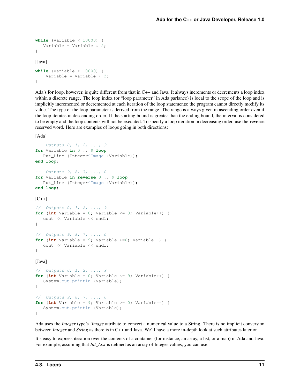```
while (Variable < 10000) {
  Variable = Variable * 2;}
[Java]
while (Variable < 10000) {
    Variable = Variable \star 2;
}
```
Ada's for loop, however, is quite different from that in C++ and Java. It always increments or decrements a loop index within a discrete range. The loop index (or "loop parameter" in Ada parlance) is local to the scope of the loop and is implicitly incremented or decremented at each iteration of the loop statements; the program cannot directly modify its value. The type of the loop parameter is derived from the range. The range is always given in ascending order even if the loop iterates in descending order. If the starting bound is greater than the ending bound, the interval is considered to be empty and the loop contents will not be executed. To specify a loop iteration in decreasing order, use the reverse reserved word. Here are examples of loops going in both directions:

[Ada]

```
-- Outputs 0, 1, 2, ..., 9
for Variable in 0 .. 9 loop
  Put_Line (Integer'Image (Variable));
end loop;
-- Outputs 9, 8, 7, ..., 0
for Variable in reverse 0 .. 9 loop
  Put_Line (Integer'Image (Variable));
end loop;
[C++]// Outputs 0, 1, 2, ..., 9
for (int Variable = 0; Variable <= 9; Variable++) {
  cout << Variable << endl;
```

```
// Outputs 9, 8, 7, ..., 0
for (int Variable = 9; Variable >=0; Variable--) {
  cout << Variable << endl;
}
```
[Java]

}

```
// Outputs 0, 1, 2, ..., 9
for (int Variable = 0; Variable \leq 9; Variable++) {
   System.out.println (Variable);
}
// Outputs 9, 8, 7, ..., 0
for (int Variable = 9; Variable >= 0; Variable--) {
   System.out.println (Variable);
}
```
Ada uses the *Integer* type's *'Image* attribute to convert a numerical value to a String. There is no implicit conversion between *Integer* and *String* as there is in C++ and Java. We'll have a more in-depth look at such attributes later on.

It's easy to express iteration over the contents of a container (for instance, an array, a list, or a map) in Ada and Java. For example, assuming that *Int* List is defined as an array of Integer values, you can use: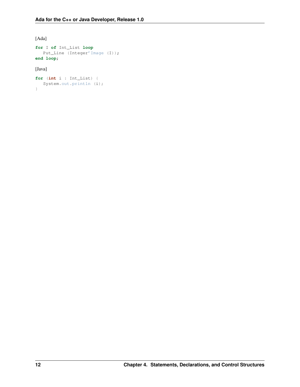[Ada]

```
for I of Int_List loop
  Put_Line (Integer'Image (I));
end loop;
```
[Java]

```
for (int i : Int_List) {
  System.out.println (i);
}
```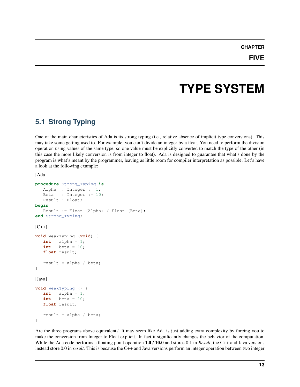### **TYPE SYSTEM**

### <span id="page-17-1"></span><span id="page-17-0"></span>**5.1 Strong Typing**

One of the main characteristics of Ada is its strong typing (i.e., relative absence of implicit type conversions). This may take some getting used to. For example, you can't divide an integer by a float. You need to perform the division operation using values of the same type, so one value must be explicitly converted to match the type of the other (in this case the more likely conversion is from integer to float). Ada is designed to guarantee that what's done by the program is what's meant by the programmer, leaving as little room for compiler interpretation as possible. Let's have a look at the following example:

[Ada]

```
procedure Strong_Typing is
  Alpha : Integer := 1;
  Beta : Integer := 10;
  Result : Float;
begin
   Result := Float (Alpha) / Float (Beta);
end Strong_Typing;
[{\rm C++}]void weakTyping (void) {
   int alpha = 1;
   int \quad \text{beta} = 10;float result;
   result = alpha / beta;
}
[Java]
void weakTyping () {
   int alpha = 1;
   int beta = 10;
   float result;
   result = alpha / beta;
}
```
Are the three programs above equivalent? It may seem like Ada is just adding extra complexity by forcing you to make the conversion from Integer to Float explicit. In fact it significantly changes the behavior of the computation. While the Ada code performs a floating point operation 1.0 / 10.0 and stores 0.1 in *Result*, the C++ and Java versions instead store 0.0 in *result*. This is because the C++ and Java versions perform an integer operation between two integer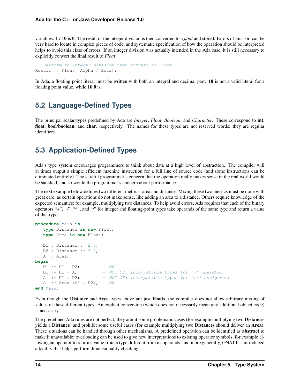variables: 1 / 10 is 0. The result of the integer division is then converted to a *float* and stored. Errors of this sort can be very hard to locate in complex pieces of code, and systematic specification of how the operation should be interpreted helps to avoid this class of errors. If an integer division was actually intended in the Ada case, it is still necessary to explicitly convert the final result to *Float*:

```
-- Perform an Integer division then convert to Float
Result := Float (Alpha / Beta);
```
In Ada, a floating point literal must be written with both an integral and decimal part. 10 is not a valid literal for a floating point value, while 10.0 is.

#### <span id="page-18-0"></span>**5.2 Language-Defined Types**

The principal scalar types predefined by Ada are *Integer*, *Float*, *Boolean*, and *Character*. These correspond to int, float, bool/boolean, and char, respectively. The names for these types are not reserved words; they are regular identifiers.

#### <span id="page-18-1"></span>**5.3 Application-Defined Types**

Ada's type system encourages programmers to think about data at a high level of abstraction. The compiler will at times output a simple efficient machine instruction for a full line of source code (and some instructions can be eliminated entirely). The careful programmer's concern that the operation really makes sense in the real world would be satisfied, and so would the programmer's concern about performance.

The next example below defines two different metrics: area and distance. Mixing these two metrics must be done with great care, as certain operations do not make sense, like adding an area to a distance. Others require knowledge of the expected semantics; for example, multiplying two distances. To help avoid errors, Ada requires that each of the binary operators "+", "-", "\*", and "/" for integer and floating-point types take operands of the same type and return a value of that type.

```
procedure Main is
   type Distance is new Float;
   type Area is new Float;
  D1 : Distance := 2.0;
  D2 : Distance := 3.0;
  A : Area;
begin
  D1 := D1 + D2; -- OK
  DI := DI + A; -- NOT OK: incompatible types for "+" operator
  A := DI * D2; -- NOT OK: incompatible types for ":=" assignment
  A := Area (D1 * D2); -- OK
end Main;
```
Even though the Distance and Area types above are just Floats, the compiler does not allow arbitrary mixing of values of these different types. An explicit conversion (which does not necessarily mean any additional object code) is necessary.

The predefined Ada rules are not perfect; they admit some problematic cases (for example multiplying two **Distances** yields a Distance) and prohibit some useful cases (for example multiplying two Distances should deliver an Area). These situations can be handled through other mechanisms. A predefined operation can be identified as abstract to make it unavailable; overloading can be used to give new interpretations to existing operator symbols, for example allowing an operator to return a value from a type different from its operands; and more generally, GNAT has introduced a facility that helps perform dimensionality checking.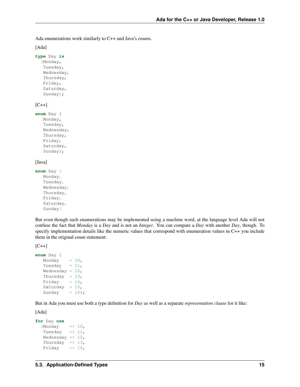Ada enumerations work similarly to C++ and Java's *enum*s.

```
[Ada]
```

```
type Day is
  (Monday,
   Tuesday,
   Wednesday,
   Thursday,
   Friday,
   Saturday,
   Sunday);
```
#### $[C++]$

```
enum Day {
  Monday,
   Tuesday,
   Wednesday,
   Thursday,
   Friday,
   Saturday,
   Sunday};
```
#### [Java]

```
enum Day {
  Monday,
   Tuesday,
   Wednesday,
   Thursday,
   Friday,
   Saturday,
   Sunday}
```
But even though such enumerations may be implemented using a machine word, at the language level Ada will not confuse the fact that *Monday* is a *Day* and is not an *Integer*. You can compare a *Day* with another *Day*, though. To specify implementation details like the numeric values that correspond with enumeration values in C++ you include them in the original *enum* statement:

 $[C++]$ 

```
enum Day {
  Monday = 10,
  Tuesday = 11,
  Wednesday = 12,
  Thursday = 13,
  Friday = 14,
  Saturday = 15,
  Sunday = 16;
```
But in Ada you must use both a type definition for *Day* as well as a separate *representation clause* for it like:

```
for Day use
   (Monday \implies 10,Tuesday \Rightarrow 11,
   Wednesday \Rightarrow 12,
   Thursday \Rightarrow 13,
   Friday \implies 14,
```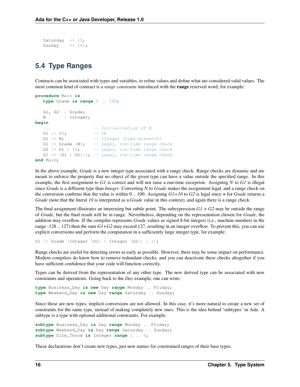```
Saturday \Rightarrow 15,
Sunday \implies 16);
```
#### <span id="page-20-0"></span>**5.4 Type Ranges**

Contracts can be associated with types and variables, to refine values and define what are considered valid values. The most common kind of contract is a *range constraint* introduced with the range reserved word, for example:

```
procedure Main is
  type Grade is range 0 .. 100;
  G1, G2 : Grade;
  N : Integer;
begin
                    -- Initialization of N
  G1 := 80; - OK
  G1 := N; - - 1llegal (type mismatch)
  G1 := Grade (N); -- Legal, run-time range check
  G2 := G1 + 10; - Legal, run-time range check
  G1 := (G1 + G2)/2; -- Legal, run-time range check
end Main;
```
In the above example, *Grade* is a new integer type associated with a range check. Range checks are dynamic and are meant to enforce the property that no object of the given type can have a value outside the specified range. In this example, the first assignment to *G1* is correct and will not raise a run-time exceprion. Assigning *N* to *G1* is illegal since *Grade* is a different type than *Integer*. Converting *N* to *Grade* makes the assignment legal, and a range check on the conversion confirms that the value is within 0 .. 100. Assigning *G1+10* to *G2* is legal since + for *Grade* returns a *Grade* (note that the literal *10* is interpreted as a *Grade* value in this context), and again there is a range check.

The final assignment illustrates an interesting but subtle point. The subexpression *G1 + G2* may be outside the range of *Grade*, but the final result will be in range. Nevertheless, depending on the representation chosen for *Grade*, the addition may overflow. If the compiler represents *Grade* values as signed 8-bit integers (i.e., machine numbers in the range -128 .. 127) then the sum *G1+G2* may exceed 127, resulting in an integer overflow. To prevent this, you can use explicit conversions and perform the computation in a sufficiently large integer type, for example:

G1 := Grade (Integer  $(G1)$  + Integer  $(G2)$ ) / 2);

Range checks are useful for detecting errors as early as possible. However, there may be some impact on performance. Modern compilers do know how to remove redundant checks, and you can deactivate these checks altogether if you have sufficient confidence that your code will function correctly.

Types can be derived from the representation of any other type. The new derived type can be associated with new constraints and operations. Going back to the *Day* example, one can write:

```
type Business_Day is new Day range Monday .. Friday;
type Weekend_Day is new Day range Saturday .. Sunday;
```
Since these are new types, implicit conversions are not allowed. In this case, it's more natural to create a new set of constraints for the same type, instead of making completely new ones. This is the idea behind 'subtypes' in Ada. A subtype is a type with optional additional constraints. For example:

```
subtype Business_Day is Day range Monday .. Friday;
subtype Weekend_Day is Day range Saturday .. Sunday;
subtype Dice_Throw is Integer range 1 .. 6;
```
These declarations don't create new types, just new names for constrained ranges of their base types.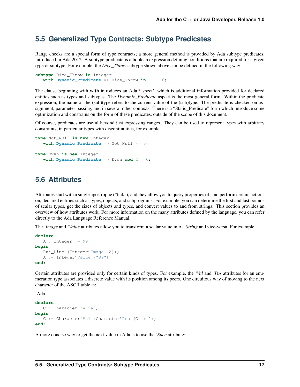#### <span id="page-21-0"></span>**5.5 Generalized Type Contracts: Subtype Predicates**

Range checks are a special form of type contracts; a more general method is provided by Ada subtype predicates, introduced in Ada 2012. A subtype predicate is a boolean expression defining conditions that are required for a given type or subtype. For example, the *Dice\_Throw* subtype shown above can be defined in the following way:

```
subtype Dice_Throw is Integer
   with Dynamic_Predicate => Dice_Throw in 1 .. 6;
```
The clause beginning with with introduces an Ada 'aspect', which is additional information provided for declared entities such as types and subtypes. The *Dynamic\_Predicate* aspect is the most general form. Within the predicate expression, the name of the (sub)type refers to the current value of the (sub)type. The predicate is checked on assignment, parameter passing, and in several other contexts. There is a "Static Predicate" form which introduce some optimization and constrains on the form of these predicates, outside of the scope of this document.

Of course, predicates are useful beyond just expressing ranges. They can be used to represent types with arbitrary constraints, in particular types with discontinuities, for example:

```
type Not_Null is new Integer
  with Dynamic_Predicate => Not_Null /= 0;
type Even is new Integer
   with Dynamic_Predicate => Even mod 2 = 0;
```
#### <span id="page-21-1"></span>**5.6 Attributes**

Attributes start with a single apostrophe ("tick"), and they allow you to query properties of, and perform certain actions on, declared entities such as types, objects, and subprograms. For example, you can determine the first and last bounds of scalar types, get the sizes of objects and types, and convert values to and from strings. This section provides an overview of how attributes work. For more information on the many attributes defined by the language, you can refer directly to the Ada Language Reference Manual.

The *'Image* and *'Value* attributes allow you to transform a scalar value into a *String* and vice-versa. For example:

```
declare
  A : Integer := 99;begin
  Put_Line (Integer'Image (A));
   A := Integer'Value ("99");
end;
```
Certain attributes are provided only for certain kinds of types. For example, the *'Val* and *'Pos* attributes for an enumeration type associates a discrete value with its position among its peers. One circuitous way of moving to the next character of the ASCII table is:

[Ada]

```
declare
  C: Character := 'a';
begin
  C := Character'Val (Character'Pos (C) + 1);
end;
```
A more concise way to get the next value in Ada is to use the *'Succ* attribute: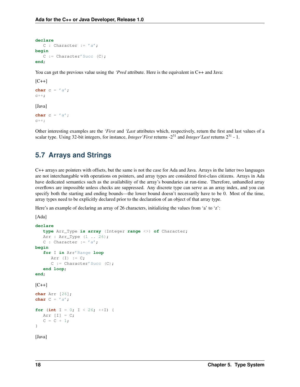```
declare
  C : Character := 'a';
begin
  C :=Character'Succ (C);
end;
```
You can get the previous value using the *'Pred* attribute. Here is the equivalent in C++ and Java:

```
[C++]char c = 'a';
c++;
```
[Java]

**char**  $c = 'a'$ ;  $C++;$ 

Other interesting examples are the *'First* and *'Last* attributes which, respectively, return the first and last values of a scalar type. Using 32-bit integers, for instance, *Integer'First* returns -2<sup>31</sup> and *Integer'Last* returns 2<sup>31</sup> - 1.

#### <span id="page-22-0"></span>**5.7 Arrays and Strings**

C++ arrays are pointers with offsets, but the same is not the case for Ada and Java. Arrays in the latter two languages are not interchangable with operations on pointers, and array types are considered first-class citizens. Arrays in Ada have dedicated semantics such as the availability of the array's boundaries at run-time. Therefore, unhandled array overflows are impossible unless checks are suppressed. Any discrete type can serve as an array index, and you can specify both the starting and ending bounds—the lower bound doesn't necessarily have to be 0. Most of the time, array types need to be explicitly declared prior to the declaration of an object of that array type.

Here's an example of declaring an array of 26 characters, initializing the values from 'a' to 'z':

[Ada]

```
declare
   type Arr_Type is array (Integer range <>) of Character;
   Arr : Arr_Type (1 .. 26);
   C : Character := 'a';
begin
   for I in Arr'Range loop
     Arr (I) := C;C :=Character'Succ (C);
   end loop;
end;
[C++]char Arr [26];
char C = 'a';
for (int I = 0; I \le 26; ++I) {
  Arr [I] = C;C = C + 1;}
```
[Java]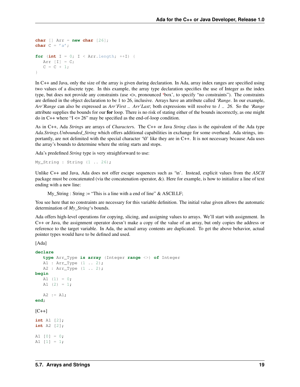```
char \begin{bmatrix} \end{bmatrix} Arr = new char \begin{bmatrix} 26 \end{bmatrix};
char C = 'a';
for (int I = 0; I \le Arr.length; ++I) {
    Arr [I] = C;C = C + 1;}
```
In C++ and Java, only the size of the array is given during declaration. In Ada, array index ranges are specified using two values of a discrete type. In this example, the array type declaration specifies the use of Integer as the index type, but does not provide any constraints (use <>, pronounced 'box', to specify "no constraints"). The constraints are defined in the object declaration to be 1 to 26, inclusive. Arrays have an attribute called *'Range*. In our example, *Arr'Range* can also be expressed as *Arr'First .. Arr'Last*; both expressions will resolve to *1 .. 26*. So the *'Range* attribute supplies the bounds for our for loop. There is no risk of stating either of the bounds incorrectly, as one might do in  $C++$  where " $I \le 26$ " may be specified as the end-of-loop condition.

As in C++, Ada *String*s are arrays of *Character*s. The C++ or Java *String* class is the equivalent of the Ada type *Ada.Strings.Unbounded\_String* which offers additional capabilities in exchange for some overhead. Ada strings, importantly, are not delimited with the special character '\0' like they are in C++. It is not necessary because Ada uses the array's bounds to determine where the string starts and stops.

Ada's predefined *String* type is very straighforward to use:

```
My String : String (1 \ldots 26);
```
Unlike C++ and Java, Ada does not offer escape sequences such as '\n'. Instead, explicit values from the *ASCII* package must be concatenated (via the concatenation operator,  $\&$ ). Here for example, is how to initialize a line of text ending with a new line:

 $My_$ String : String := "This is a line with a end of line" & ASCII.LF;

You see here that no constraints are necessary for this variable definition. The initial value given allows the automatic determination of *My\_String*'s bounds.

Ada offers high-level operations for copying, slicing, and assigning values to arrays. We'll start with assignment. In C++ or Java, the assignment operator doesn't make a copy of the value of an array, but only copies the address or reference to the target variable. In Ada, the actual array contents are duplicated. To get the above behavior, actual pointer types would have to be defined and used.

```
declare
   type Arr_Type is array (Integer range <>) of Integer
   A1 : Arr_Type (1 .. 2);
  A2 : Arr_Type (1 .. 2);
begin
  A1 (1) = 0;A1 (2) = 1;A2 := A1;end;
[C++]int A1 [2];
int A2 [2];
A1 [0] = 0;A1 [1] = 1;
```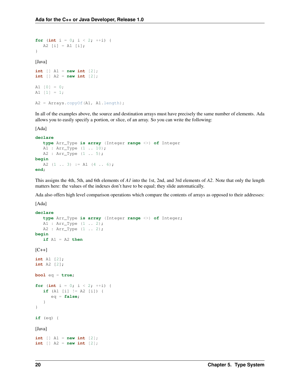```
for (int i = 0; i < 2; ++i) {
    A2 [i] = A1 [i];
}
[Java]
int \begin{bmatrix} 1 \\ 4 \end{bmatrix} A1 = new int \begin{bmatrix} 2 \\ 1 \end{bmatrix};
int \begin{bmatrix} 1 \\ 2 \end{bmatrix}; A2 = new int [2];A1 [0] = 0;A1 [1] = 1;A2 = Arrays.copyOf(A1, A1.length);
```
In all of the examples above, the source and destination arrays must have precisely the same number of elements. Ada allows you to easily specify a portion, or slice, of an array. So you can write the following:

[Ada]

```
declare
   type Arr_Type is array (Integer range <>) of Integer
   A1 : Arr_Type (1 .. 10);
   A2 : Arr_Type (1 .. 5);
begin
   A2 (1 \ldots 3) := A1 (4 \ldots 6);
end;
```
This assigns the 4th, 5th, and 6th elements of *A1* into the 1st, 2nd, and 3rd elements of *A2*. Note that only the length matters here: the values of the indexes don't have to be equal; they slide automatically.

Ada also offers high level comparison operations which compare the contents of arrays as opposed to their addresses:

```
declare
    type Arr_Type is array (Integer range <>) of Integer;
    A1 : Arr_Type (1 .. 2);
    A2 : Arr_Type (1 .. 2);
begin
    if A1 = A2 then
[{\rm C++}]int A1 [2];
int A2 [2];
bool eq = true;
for (int i = 0; i < 2; ++i) {
    if (A1 [i] != A2 [i]) {
         eq = false;
     }
}
if (eq) {
[Java]
int \begin{bmatrix} 1 \\ 4 \end{bmatrix} A1 = new int \begin{bmatrix} 2 \\ 1 \end{bmatrix};
int \begin{bmatrix} 1 \\ 42 \end{bmatrix} = new int \begin{bmatrix} 2 \\ 1 \end{bmatrix};
```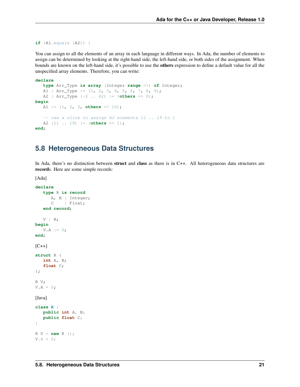```
if (A1.equals (A2)) {
```
You can assign to all the elements of an array in each language in different ways. In Ada, the number of elements to assign can be determined by looking at the right-hand side, the left-hand side, or both sides of the assignment. When bounds are known on the left-hand side, it's possible to use the others expression to define a default value for all the unspecified array elements. Therefore, you can write:

```
declare
  type Arr_Type is array (Integer range <>) of Integer;
  A1 : Arr_Type := (1, 2, 3, 4, 5, 6, 7, 8, 9);
  A2 : Arr_Type (-2 .. 42) := (others => 0);
begin
  A1 := (1, 2, 3, others => 10);
   -- use a slice to assign A2 elements 11 .. 19 to 1
  A2 (11 .. 19) := (others => 1);
end;
```
#### <span id="page-25-0"></span>**5.8 Heterogeneous Data Structures**

In Ada, there's no distinction between struct and class as there is in C++. All heterogeneous data structures are records. Here are some simple records:

```
declare
   type R is record
     A, B : Integer;
      C : Float;
   end record;
   V : R;begin
   V.A := 0;end;
[C++]struct R {
   int A, B;
   float C;
};
R V;
V.A = 0;[Java]
class R {
   public int A, B;
   public float C;
}
R V = new R ();
V.A = 0;
```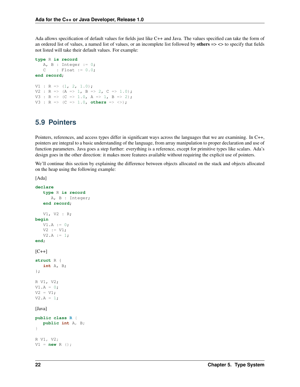Ada allows specification of default values for fields just like C++ and Java. The values specified can take the form of an ordered list of values, a named list of values, or an incomplete list followed by others  $\Rightarrow$   $\lt$  to specify that fields not listed will take their default values. For example:

```
type R is record
   A, B : Integer := 0;
   C : Float := 0.0;
end record;
V1 : R => (1, 2, 1.0);V2 : R \implies (A \implies 1, B \implies 2, C \implies 1.0);V3 : R => (C => 1.0, A => 1, B => 2);V3 : R \implies (C \implies 1.0, \text{ others} \implies \langle > \rangle;
```
#### <span id="page-26-0"></span>**5.9 Pointers**

Pointers, references, and access types differ in significant ways across the languages that we are examining. In C++, pointers are integral to a basic understanding of the language, from array manipulation to proper declaration and use of function parameters. Java goes a step further: everything is a reference, except for primitive types like scalars. Ada's design goes in the other direction: it makes more features available without requiring the explicit use of pointers.

We'll continue this section by explaining the difference between objects allocated on the stack and objects allocated on the heap using the following example:

```
declare
   type R is record
     A, B : Integer;
   end record;
   V1, V2 : R;
begin
   V1.A := 0;
  V2 := V1;V2.A := 1;end;
[C++]struct R {
   int A, B;
};
R V1, V2;
V1.A = 0;V2 = V1;V2.A = 1;[Java]
public class R {
  public int A, B;
}
R V1, V2;
V1 = new R ();
```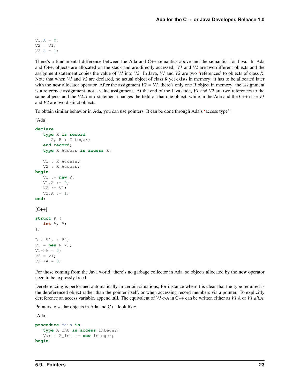$V1.A = 0;$  $V2 = V1;$  $V2.A = 1;$ 

There's a fundamental difference between the Ada and C++ semantics above and the semantics for Java. In Ada and C++, objects are allocated on the stack and are directly accessed. *V1* and *V2* are two different objects and the assignment statement copies the value of *V1* into *V2*. In Java, *V1* and *V2* are two 'references' to objects of class *R*. Note that when *V1* and *V2* are declared, no actual object of class *R* yet exists in memory: it has to be allocated later with the **new** allocator operator. After the assignment  $V2 = VI$ , there's only one R object in memory: the assignment is a reference assignment, not a value assignment. At the end of the Java code, *V1* and *V2* are two references to the same objects and the *V2.A = 1* statement changes the field of that one object, while in the Ada and the C++ case *V1* and *V2* are two distinct objects.

To obtain similar behavior in Ada, you can use pointers. It can be done through Ada's 'access type':

```
[Ada]
```

```
declare
   type R is record
      A, B : Integer;
   end record;
   type R_Access is access R;
   V1 : R_Access;
   V2 : R Access;
begin
   V1 := new R;
   V1.A := 0;V2 := V1;V2.A := 1;end;
[C++]struct R {
   int A, B;
};
R * VI, * V2;V1 = new R();V1->A = 0;V2 = V1;V2->A = 0;
```
For those coming from the Java world: there's no garbage collector in Ada, so objects allocated by the **new** operator need to be expressly freed.

Dereferencing is performed automatically in certain situations, for instance when it is clear that the type required is the dereferenced object rather than the pointer itself, or when accessing record members via a pointer. To explicitly dereference an access variable, append .all. The equivalent of *V1->A* in C++ can be written either as *V1.A* or *V1.all.A*.

Pointers to scalar objects in Ada and C++ look like:

```
procedure Main is
   type A_Int is access Integer;
   Var : A_Int := new Integer;
begin
```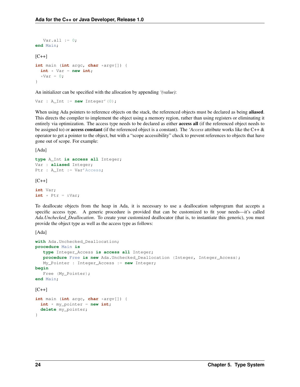```
Var.all := 0;end Main;
[{\rm C++}]int main (int argc, char *argv[]) {
 int * Var = new int;
  *Var = 0;}
```
An initializer can be specified with the allocation by appending *'(value)*:

Var : A\_Int := **new** Integer'(0);

When using Ada pointers to reference objects on the stack, the referenced objects must be declared as being **aliased**. This directs the compiler to implement the object using a memory region, rather than using registers or eliminating it entirely via optimization. The access type needs to be declared as either **access all** (if the referenced object needs to be assigned to) or access constant (if the referenced object is a constant). The *'Access* attribute works like the C++ & operator to get a pointer to the object, but with a "scope accessibility" check to prevent references to objects that have gone out of scope. For example:

[Ada]

```
type A_Int is access all Integer;
Var : aliased Integer;
Ptr : A_Int := Var'Access;
[C++]int Var;
```

```
int * Ptr = &Var;
```
To deallocate objects from the heap in Ada, it is necessary to use a deallocation subprogram that accepts a specific access type. A generic procedure is provided that can be customized to fit your needs—it's called *Ada.Unchecked\_Deallocation*. To create your customized deallocator (that is, to instantiate this generic), you must provide the object type as well as the access type as follows:

```
with Ada.Unchecked_Deallocation;
procedure Main is
   type Integer_Access is access all Integer;
   procedure Free is new Ada.Unchecked_Deallocation (Integer, Integer_Access);
  My_Pointer : Integer_Access := new Integer;
begin
  Free (My_Pointer);
end Main;
[C++]int main (int argc, char *argv[]) {
  int * my_pointer = new int;
  delete my_pointer;
}
```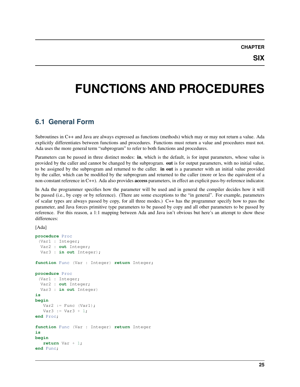**SIX**

### <span id="page-29-0"></span>**FUNCTIONS AND PROCEDURES**

#### <span id="page-29-1"></span>**6.1 General Form**

Subroutines in C++ and Java are always expressed as functions (methods) which may or may not return a value. Ada explicitly differentiates between functions and procedures. Functions must return a value and procedures must not. Ada uses the more general term "subprogram" to refer to both functions and procedures.

Parameters can be passed in three distinct modes: in, which is the default, is for input parameters, whose value is provided by the caller and cannot be changed by the subprogram. out is for output parameters, with no initial value, to be assigned by the subprogram and returned to the caller. **in out** is a parameter with an initial value provided by the caller, which can be modified by the subprogram and returned to the caller (more or less the equivalent of a non-constant reference in C++). Ada also provides access parameters, in effect an explicit pass-by-reference indicator.

In Ada the programmer specifies how the parameter will be used and in general the compiler decides how it will be passed (i.e., by copy or by reference). (There are some exceptions to the "in general". For example, parameters of scalar types are always passed by copy, for all three modes.) C++ has the programmer specify how to pass the parameter, and Java forces primitive type parameters to be passed by copy and all other parameters to be passed by reference. For this reason, a 1:1 mapping between Ada and Java isn't obvious but here's an attempt to show these differences:

```
procedure Proc
 (Var1 : Integer;
 Var2 : out Integer;
 Var3 : in out Integer);
function Func (Var : Integer) return Integer;
procedure Proc
 (Var1 : Integer;
 Var2 : out Integer;
  Var3 : in out Integer)
is
begin
  Var2 := Func (Var1);
  Var3 := Var3 + 1;end Proc;
function Func (Var : Integer) return Integer
is
begin
   return Var + 1;
end Func;
```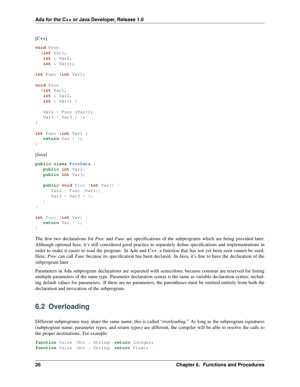```
[C++]void Proc
  (int Var1,
  int & Var2,
  int & Var3);
int Func (int Var);
void Proc
  (int Var1,
  int & Var2,
  int & Var3) {
  Var2 = Func (Var1);Var3 = Var3 + 1;}
int Func (int Var) {
  return Var + 1;
}
[Java]
public class ProcData {
  public int Var2;
  public int Var3;
   public void Proc (int Var1) {
     Var2 = Func (Var1);Var3 = Var3 + 1;}
}
int Func (int Var) {
  return Var + 1;
}
```
The first two declarations for *Proc* and *Func* are specifications of the subprograms which are being provided later. Although optional here, it's still considered good practice to separately define specifications and implementations in order to make it easier to read the program. In Ada and C++, a function that has not yet been seen cannot be used. Here, *Proc* can call *Func* because its specification has been declared. In Java, it's fine to have the declaration of the subprogram later .

Parameters in Ada subprogram declarations are separated with semicolons, because commas are reserved for listing multiple parameters of the same type. Parameter declaration syntax is the same as variable declaration syntax, including default values for parameters. If there are no parameters, the parentheses must be omitted entirely from both the declaration and invocation of the subprogram.

#### <span id="page-30-0"></span>**6.2 Overloading**

Different subprograms may share the same name; this is called "overloading." As long as the subprogram signatures (subprogram name, parameter types, and return types) are different, the compiler will be able to resolve the calls to the proper destinations. For example:

```
function Value (Str : String) return Integer;
function Value (Str : String) return Float;
```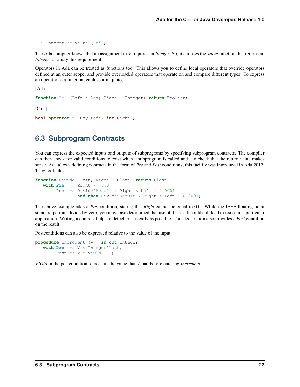$V : Integer := Value (18")$ ;

The Ada compiler knows that an assignment to *V* requires an *Integer*. So, it chooses the *Value* function that returns an *Integer* to satisfy this requirement.

Operators in Ada can be treated as functions too. This allows you to define local operators that override operators defined at an outer scope, and provide overloaded operators that operate on and compare different types. To express an operator as a function, enclose it in quotes:

[Ada]

**function** "=" (Left : Day; Right : Integer) **return** Boolean;  $[C++]$ **bool operator** = (Day Left, **int** Right);

#### <span id="page-31-0"></span>**6.3 Subprogram Contracts**

You can express the expected inputs and outputs of subprograms by specifying subprogram contracts. The compiler can then check for valid conditions to exist when a subprogram is called and can check that the return value makes sense. Ada allows defining contracts in the form of *Pre* and *Post* conditions; this facility was introduced in Ada 2012. They look like:

```
function Divide (Left, Right : Float) return Float
  with Pre => Right /= 0.0,
       Post => Divide'Result * Right < Left + 0.0001
                and then Divide'Result * Right > Left - 0.0001;
```
The above example adds a *Pre* condition, stating that *Right* cannot be equal to 0.0. While the IEEE floating point standard permits divide-by-zero, you may have determined that use of the result could still lead to issues in a particular application. Writing a contract helps to detect this as early as possible. This declaration also provides a *Post* condition on the result.

Postconditions can also be expressed relative to the value of the input:

```
procedure Increment (V : in out Integer)
   with Pre => V < Integer'Last,
        Post \Rightarrow V = V'Old + 1;
```
*V'Old* in the postcondition represents the value that *V* had before entering *Increment*.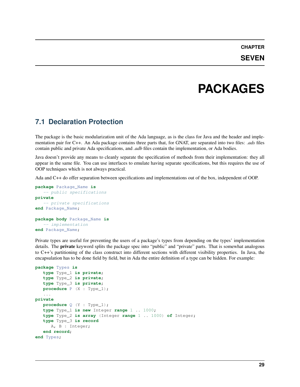### **PACKAGES**

#### <span id="page-33-1"></span><span id="page-33-0"></span>**7.1 Declaration Protection**

The package is the basic modularization unit of the Ada language, as is the class for Java and the header and implementation pair for C++. An Ada package contains three parts that, for GNAT, are separated into two files: *.ads* files contain public and private Ada specifications, and *.adb* files contain the implementation, or Ada bodies.

Java doesn't provide any means to cleanly separate the specification of methods from their implementation: they all appear in the same file. You can use interfaces to emulate having separate specifications, but this requires the use of OOP techniques which is not always practical.

Ada and C++ do offer separation between specifications and implementations out of the box, independent of OOP.

```
package Package_Name is
   -- public specifications
private
   -- private specifications
end Package_Name;
package body Package_Name is
   -- implementation
end Package_Name;
```
Private types are useful for preventing the users of a package's types from depending on the types' implementation details. The **private** keyword splits the package spec into "public" and "private" parts. That is somewhat analogous to C++'s partitioning of the class construct into different sections with different visibility properties. In Java, the encapsulation has to be done field by field, but in Ada the entire definition of a type can be hidden. For example:

```
package Types is
   type Type_1 is private;
   type Type_2 is private;
   type Type_3 is private;
  procedure P (X : Type_1);
   ...
private
  procedure Q (Y : Type_1);
   type Type_1 is new Integer range 1 .. 1000;
   type Type_2 is array (Integer range 1 .. 1000) of Integer;
   type Type_3 is record
     A, B : Integer;
   end record;
end Types;
```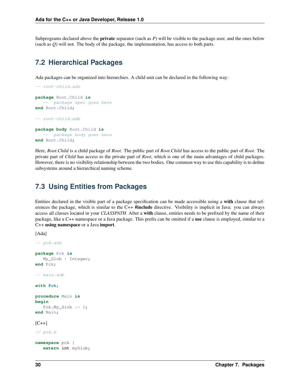Subprograms declared above the private separator (such as *P*) will be visible to the package user, and the ones below (such as *Q*) will not. The body of the package, the implementation, has access to both parts.

#### <span id="page-34-0"></span>**7.2 Hierarchical Packages**

Ada packages can be organized into hierarchies. A child unit can be declared in the following way:

```
-- root-child.ads
package Root.Child is
   -- package spec goes here
end Root.Child;
-- root-child.adb
package body Root.Child is
   -- package body goes here
end Root.Child;
```
Here, *Root.Child* is a child package of *Root*. The public part of *Root.Child* has access to the public part of *Root*. The private part of *Child* has access to the private part of *Root*, which is one of the main advantages of child packages. However, there is no visibility relationship between the two bodies. One common way to use this capability is to define subsystems around a hierarchical naming scheme.

#### <span id="page-34-1"></span>**7.3 Using Entities from Packages**

Entities declared in the visible part of a package specification can be made accessible using a with clause that references the package, which is similar to the C++ **#include** directive. Visibility is implicit in Java: you can always access all classes located in your *CLASSPATH*. After a with clause, entities needs to be prefixed by the name of their package, like a C++ namespace or a Java package. This prefix can be omitted if a use clause is employed, similar to a C++ using namespace or a Java import.

```
[Ada]
```

```
-- pck.ads
package Pck is
  My_Glob : Integer;
end Pck;
-- main.adb
with Pck;
procedure Main is
begin
   Pck.My_Glob := 0;
end Main;
[C++]// pck.h
namespace pck {
   extern int myGlob;
```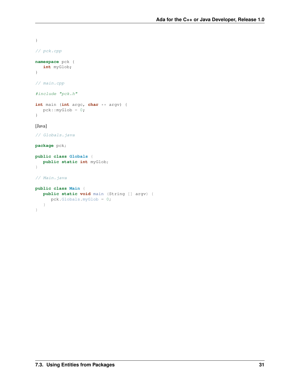```
}
// pck.cpp
namespace pck {
  int myGlob;
}
// main.cpp
#include "pck.h"
int main (int argc, char ** argv) {
  pck::myGlob = 0;
}
[Java]
// Globals.java
package pck;
public class Globals {
   public static int myGlob;
}
// Main.java
public class Main {
  public static void main (String [] argv) {
    pck.Globals.myGlob = 0;
   }
}
```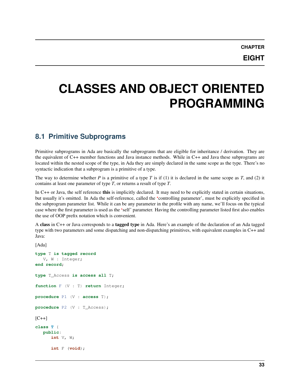### <span id="page-37-0"></span>**CLASSES AND OBJECT ORIENTED PROGRAMMING**

### <span id="page-37-1"></span>**8.1 Primitive Subprograms**

Primitive subprograms in Ada are basically the subprograms that are eligible for inheritance / derivation. They are the equivalent of C++ member functions and Java instance methods. While in C++ and Java these subprograms are located within the nested scope of the type, in Ada they are simply declared in the same scope as the type. There's no syntactic indication that a subprogram is a primitive of a type.

The way to determine whether *P* is a primitive of a type *T* is if (1) it is declared in the same scope as *T*, and (2) it contains at least one parameter of type *T*, or returns a result of type *T*.

In C++ or Java, the self reference this is implicitly declared. It may need to be explicitly stated in certain situations, but usually it's omitted. In Ada the self-reference, called the 'controlling parameter', must be explicitly specified in the subprogram parameter list. While it can be any parameter in the profile with any name, we'll focus on the typical case where the first parameter is used as the 'self' parameter. Having the controlling parameter listed first also enables the use of OOP prefix notation which is convenient.

A class in C++ or Java corresponds to a tagged type in Ada. Here's an example of the declaration of an Ada tagged type with two parameters and some dispatching and non-dispatching primitives, with equivalent examples in C++ and Java:

```
[Ada]
type T is tagged record
   V, W : Integer;
end record;
type T_Access is access all T;
function F (V : T) return Integer;
procedure P1 (V : access T);
procedure P2 (V : T_Access);
[C++]class T {
  public:
      int V, W;
      int F (void);
```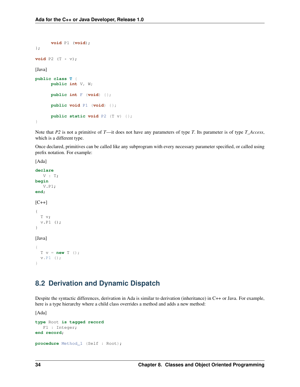```
void P1 (void);
};
void P2 (T * v);
[Java]
public class T {
      public int V, W;
      public int F (void) {};
      public void P1 (void) {};
      public static void P2 (T v) {};
}
```
Note that *P2* is not a primitive of *T*—it does not have any parameters of type *T*. Its parameter is of type *T\_Access*, which is a different type.

Once declared, primitives can be called like any subprogram with every necessary parameter specified, or called using prefix notation. For example:

[Ada]

```
declare
   V : T;
begin
   V.P1;
end;
[C++]{
  T v;
  v.P1 ();
}
[Java]
{
  T v = new T ();
  v.P1 ();
}
```
### <span id="page-38-0"></span>**8.2 Derivation and Dynamic Dispatch**

Despite the syntactic differences, derivation in Ada is similar to derivation (inheritance) in C++ or Java. For example, here is a type hierarchy where a child class overrides a method and adds a new method:

```
type Root is tagged record
  F1 : Integer;
end record;
procedure Method_1 (Self : Root);
```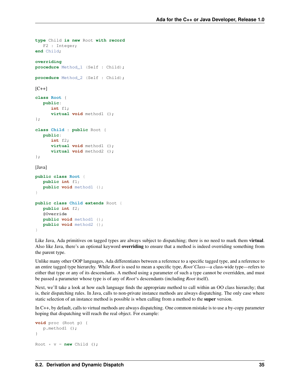```
type Child is new Root with record
  F2 : Integer;
end Child;
overriding
procedure Method_1 (Self : Child);
procedure Method_2 (Self : Child);
[C++]class Root {
  public:
      int f1;
      virtual void method1 ();
};
class Child : public Root {
  public:
      int f2;
      virtual void method1 ();
      virtual void method2 ();
};
[Java]
public class Root {
  public int f1;
  public void method1 ();
}
public class Child extends Root {
   public int f2;
   @Override
   public void method1 ();
   public void method2 ();
}
```
Like Java, Ada primitives on tagged types are always subject to dispatching; there is no need to mark them virtual. Also like Java, there's an optional keyword **overriding** to ensure that a method is indeed overriding something from the parent type.

Unlike many other OOP languages, Ada differentiates between a reference to a specific tagged type, and a reference to an entire tagged type hierarchy. While *Root* is used to mean a specific type, *Root'Class*—a class-wide type—refers to either that type or any of its descendants. A method using a parameter of such a type cannot be overridden, and must be passed a parameter whose type is of any of *Root*'s descendants (including *Root* itself).

Next, we'll take a look at how each language finds the appropriate method to call within an OO class hierarchy; that is, their dispatching rules. In Java, calls to non-private instance methods are always dispatching. The only case where static selection of an instance method is possible is when calling from a method to the **super** version.

In C++, by default, calls to virtual methods are always dispatching. One common mistake is to use a by-copy parameter hoping that dispatching will reach the real object. For example:

```
void proc (Root p) {
   p.method1 ();
}
Root * v = new Child ();
```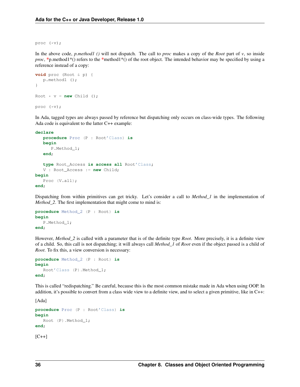proc (\*v);

In the above code, *p.method1 ()* will not dispatch. The call to *proc* makes a copy of the *Root* part of *v*, so inside *proc*, \*p.method1\*() refers to the \*method1\*() of the root object. The intended behavior may be specified by using a reference instead of a copy:

```
void proc (Root & p) {
   p.method1 ();
}
Root * v = new Child ();
proc (*v);
```
In Ada, tagged types are always passed by reference but dispatching only occurs on class-wide types. The following Ada code is equivalent to the latter C++ example:

**declare**

```
procedure Proc (P : Root'Class) is
   begin
     P.Method_1;
   end;
   type Root_Access is access all Root'Class;
   V : Root_Access := new Child;
begin
  Proc (V.all);
end;
```
Dispatching from within primitives can get tricky. Let's consider a call to *Method\_1* in the implementation of *Method\_2*. The first implementation that might come to mind is:

```
procedure Method_2 (P : Root) is
begin
  P.Method_1;
end;
```
However, *Method\_2* is called with a parameter that is of the definite type *Root*. More precisely, it is a definite view of a child. So, this call is not dispatching; it will always call *Method\_1* of *Root* even if the object passed is a child of *Root*. To fix this, a view conversion is necessary:

```
procedure Method_2 (P : Root) is
begin
   Root'Class (P).Method 1;
end;
```
This is called "redispatching." Be careful, because this is the most common mistake made in Ada when using OOP. In addition, it's possible to convert from a class wide view to a definite view, and to select a given primitive, like in C++:

```
procedure Proc (P : Root'Class) is
begin
   Root (P).Method_1;
end;
[C++]
```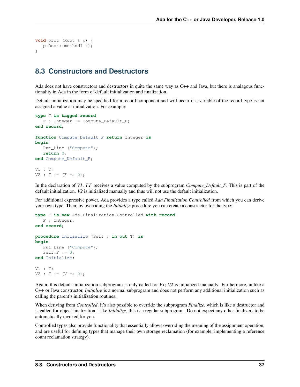```
void proc (Root & p) {
   p.Root::method1 ();
}
```
### <span id="page-41-0"></span>**8.3 Constructors and Destructors**

Ada does not have constructors and destructors in quite the same way as C++ and Java, but there is analagous functionality in Ada in the form of default initialization and finalization.

Default initialization may be specified for a record component and will occur if a variable of the record type is not assigned a value at initialization. For example:

```
type T is tagged record
  F : Integer := Compute_Default_F;
end record;
function Compute_Default_F return Integer is
begin
  Put_Line ("Compute");
   return 0;
end Compute_Default_F;
V1 : T;
V2 : T := (F \implies 0);
```
In the declaration of *V1*, *T.F* receives a value computed by the subprogram *Compute\_Default\_F*. This is part of the default initialization. *V2* is initialized manually and thus will not use the default initialization.

For additional expressive power, Ada provides a type called *Ada.Finalization.Controlled* from which you can derive your own type. Then, by overriding the *Initialize* procedure you can create a constructor for the type:

```
type T is new Ada.Finalization.Controlled with record
  F : Integer;
end record;
procedure Initialize (Self : in out T) is
begin
  Put_Line ("Compute");
   Self.F := 0;end Initialize;
V1 : T;
V2 : T := (V \implies 0);
```
Again, this default initialization subprogram is only called for *V1*; *V2* is initialized manually. Furthermore, unlike a C++ or Java constructor, *Initialize* is a normal subprogram and does not perform any additional initialization such as calling the parent's initialization routines.

When deriving from *Controlled*, it's also possible to override the subprogram *Finalize*, which is like a destructor and is called for object finalization. Like *Initialize*, this is a regular subprogram. Do not expect any other finalizers to be automatically invoked for you.

Controlled types also provide functionality that essentially allows overriding the meaning of the assignment operation, and are useful for defining types that manage their own storage reclamation (for example, implementing a reference count reclamation strategy).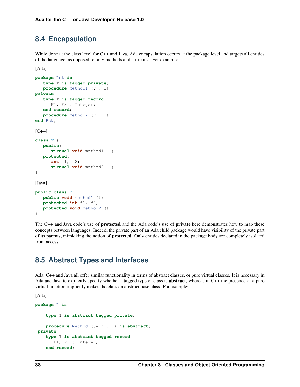#### <span id="page-42-0"></span>**8.4 Encapsulation**

While done at the class level for C++ and Java, Ada encapsulation occurs at the package level and targets all entities of the language, as opposed to only methods and attributes. For example:

[Ada]

```
package Pck is
  type T is tagged private;
   procedure Method1 (V : T);
private
  type T is tagged record
     F1, F2 : Integer;
   end record;
  procedure Method2 (V : T);
end Pck;
[C++]class T {
  public:
      virtual void method1 ();
  protected:
      int f1, f2;
      virtual void method2 ();
};
[Java]
public class T {
  public void method1 ();
  protected int f1, f2;
  protected void method2 ();
```
}

The C++ and Java code's use of **protected** and the Ada code's use of **private** here demonstrates how to map these concepts between languages. Indeed, the private part of an Ada child package would have visibility of the private part of its parents, mimicking the notion of protected. Only entities declared in the package body are completely isolated from access.

### <span id="page-42-1"></span>**8.5 Abstract Types and Interfaces**

Ada, C++ and Java all offer similar functionality in terms of abstract classes, or pure virtual classes. It is necessary in Ada and Java to explicitly specify whether a tagged type or class is abstract, whereas in C++ the presence of a pure virtual function implicitly makes the class an abstract base class. For example:

```
package P is
    type T is abstract tagged private;
   procedure Method (Self : T) is abstract;
private
    type T is abstract tagged record
      F1, F2 : Integer;
    end record;
```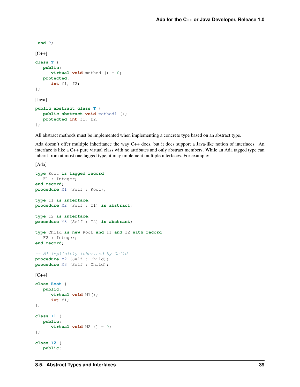```
end P;
[{\rm C++}]class T {
   public:
      virtual void method () = 0;
   protected:
      int f1, f2;
};
[Java]
public abstract class T {
   public abstract void method1 ();
   protected int f1, f2;
```

```
};
```
All abstract methods must be implemented when implementing a concrete type based on an abstract type.

Ada doesn't offer multiple inheritance the way C++ does, but it does support a Java-like notion of interfaces. An interface is like a C++ pure virtual class with no attributes and only abstract members. While an Ada tagged type can inherit from at most one tagged type, it may implement multiple interfaces. For example:

```
[Ada]
type Root is tagged record
   F1 : Integer;
end record;
procedure M1 (Self : Root);
type I1 is interface;
procedure M2 (Self : I1) is abstract;
type I2 is interface;
procedure M3 (Self : I2) is abstract;
type Child is new Root and I1 and I2 with record
   F2 : Integer;
end record;
-- M1 implicitly inherited by Child
procedure M2 (Self : Child);
procedure M3 (Self : Child);
[C++]class Root {
   public:
      virtual void M1();
      int f1;
};
class I1 {
   public:
      virtual void M2 () = 0;
};
class I2 {
   public:
```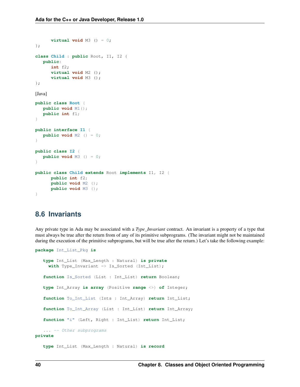```
virtual void M3 () = 0;
};
class Child : public Root, I1, I2 {
  public:
      int f2;
      virtual void M2 ();
      virtual void M3 ();
};
[Java]
public class Root {
   public void M1();
  public int f1;
}
public interface I1 {
  public void M2 () = 0;
}
public class I2 {
  public void M3 () = 0;
}
public class Child extends Root implements I1, I2 {
      public int f2;
      public void M2 ();
      public void M3 ();
}
```
#### <span id="page-44-0"></span>**8.6 Invariants**

Any private type in Ada may be associated with a *Type\_Invariant* contract. An invariant is a property of a type that must always be true after the return from of any of its primitive subprograms. (The invariant might not be maintained during the execution of the primitive subprograms, but will be true after the return.) Let's take the following example:

```
package Int_List_Pkg is
  type Int_List (Max_Length : Natural) is private
    with Type_Invariant => Is_Sorted (Int_List);
   function Is_Sorted (List : Int_List) return Boolean;
   type Int_Array is array (Positive range <>) of Integer;
   function To_Int_List (Ints : Int_Array) return Int_List;
   function To_Int_Array (List : Int_List) return Int_Array;
   function "&" (Left, Right : Int_List) return Int_List;
   ... -- Other subprograms
private
  type Int_List (Max_Length : Natural) is record
```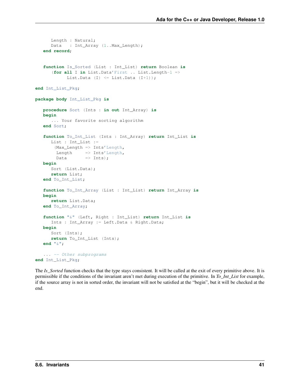```
Length : Natural;
     Data : Int_Array (1..Max_Length);
   end record;
   function Is_Sorted (List : Int_List) return Boolean is
      (for all I in List.Data'First .. List.Length-1 =>
           List.Data (I) \leq List.Data (I+1));
end Int_List_Pkg;
package body Int_List_Pkg is
  procedure Sort (Ints : in out Int_Array) is
  begin
      ... Your favorite sorting algorithm
  end Sort;
   function To_Int_List (Ints : Int_Array) return Int_List is
     List : Int_List :=
       (Max_Length => Ints'Length,
       Length => Ints'Length,
       Data \implies Ints);
  begin
     Sort (List.Data);
     return List;
  end To_Int_List;
   function To_Int_Array (List : Int_List) return Int_Array is
  begin
     return List.Data;
  end To_Int_Array;
   function "&" (Left, Right : Int_List) return Int_List is
     Ints : Int_Array := Left.Data & Right.Data;
  begin
     Sort (Ints);
     return To_Int_List (Ints);
  end "&";
   ... -- Other subprograms
end Int_List_Pkg;
```
The *Is\_Sorted* function checks that the type stays consistent. It will be called at the exit of every primitive above. It is permissible if the conditions of the invariant aren't met during execution of the primitive. In *To\_Int\_List* for example, if the source array is not in sorted order, the invariant will not be satisfied at the "begin", but it will be checked at the end.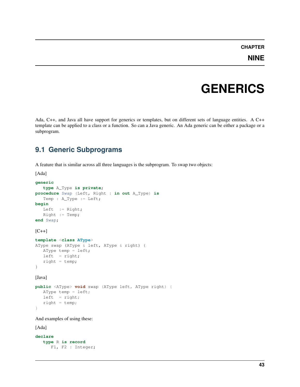#### **CHAPTER**

### **GENERICS**

<span id="page-47-0"></span>Ada, C++, and Java all have support for generics or templates, but on different sets of language entities. A C++ template can be applied to a class or a function. So can a Java generic. An Ada generic can be either a package or a subprogram.

### <span id="page-47-1"></span>**9.1 Generic Subprograms**

A feature that is similar across all three languages is the subprogram. To swap two objects:

[Ada]

```
generic
   type A_Type is private;
procedure Swap (Left, Right : in out A_Type) is
   Temp : A_Type := Left;
begin
  Left := Right;
  Right := Temp;
end Swap;
[C++]template <class AType>
AType swap (AType & left, AType & right) {
  AType temp = left;
  left = right;right = temp;}
[Java]
public <AType> void swap (AType left, AType right) {
  AType temp = left;
```
}

And examples of using these:

 $left = right;$  $right = temp;$ 

```
declare
  type R is record
     F1, F2 : Integer;
```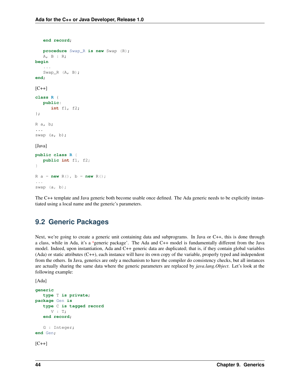```
end record;
   procedure Swap_R is new Swap (R);
   A, B : R;
begin
   ...
   Swap_R (A, B);
end;
[C++]class R {
   public:
      int f1, f2;
};
R a, b;
...
swap (a, b);
[Java]
public class R {
   public int f1, f2;
}
R a = new R(), b = new R();
...
swap (a, b);
```
The C++ template and Java generic both become usable once defined. The Ada generic needs to be explicitly instantiated using a local name and the generic's parameters.

#### <span id="page-48-0"></span>**9.2 Generic Packages**

Next, we're going to create a generic unit containing data and subprograms. In Java or C++, this is done through a class, while in Ada, it's a 'generic package'. The Ada and C++ model is fundamentally different from the Java model. Indeed, upon instantiation, Ada and C++ generic data are duplicated; that is, if they contain global variables (Ada) or static attributes (C++), each instance will have its own copy of the variable, properly typed and independent from the others. In Java, generics are only a mechanism to have the compiler do consistency checks, but all instances are actually sharing the same data where the generic parameters are replaced by *java.lang.Object*. Let's look at the following example:

```
generic
   type T is private;
package Gen is
   type C is tagged record
     V : T;end record;
   G : Integer;
end Gen;
[C++]
```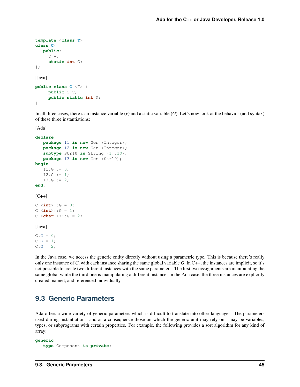```
template <class T>
class C{
   public:
     T v;
     static int G;
};
[Java]
public class C <T> {
     public T v;
     public static int G;
}
```
In all three cases, there's an instance variable (*v*) and a static variable (*G*). Let's now look at the behavior (and syntax) of these three instantiations:

[Ada]

```
declare
  package I1 is new Gen (Integer);
  package I2 is new Gen (Integer);
   subtype Str10 is String (1..10);
  package I3 is new Gen (Str10);
begin
  I1.G := 0;I2.G := 1;I3.G := 2;end;
[C++]C \le int:: G = 0;
C \leq int::G = 1;
C <char *>::G = 2;
```
#### [Java]

 $C.G = 0;$  $C.G = 1;$  $C.G = 2;$ 

In the Java case, we access the generic entity directly without using a parametric type. This is because there's really only one instance of *C*, with each instance sharing the same global variable *G*. In C++, the instances are implicit, so it's not possible to create two different instances with the same parameters. The first two assignments are manipulating the same global while the third one is manipulating a different instance. In the Ada case, the three instances are explicitly created, named, and referenced individually.

#### <span id="page-49-0"></span>**9.3 Generic Parameters**

Ada offers a wide variety of generic parameters which is difficult to translate into other languages. The parameters used during instantiation—and as a consequence those on which the generic unit may rely on—may be variables, types, or subprograms with certain properties. For example, the following provides a sort algorithm for any kind of array:

```
generic
   type Component is private;
```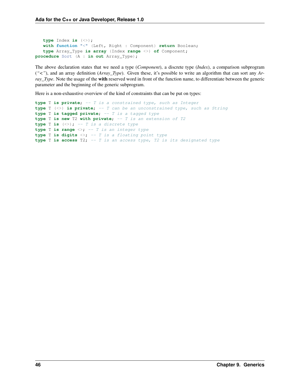```
type Index is (<>);
  with function "<" (Left, Right : Component) return Boolean;
  type Array_Type is array (Index range <>) of Component;
procedure Sort (A : in out Array_Type);
```
The above declaration states that we need a type (*Component*), a discrete type (*Index*), a comparison subprogram (*"<"*), and an array definition (*Array\_Type*). Given these, it's possible to write an algorithm that can sort any *Array\_Type*. Note the usage of the with reserved word in front of the function name, to differentiate between the generic parameter and the beginning of the generic subprogram.

Here is a non-exhaustive overview of the kind of constraints that can be put on types:

```
type T is private; -- T is a constrained type, such as Integer
type T (<>) is private; -- T can be an unconstrained type, such as String
type T is tagged private; -- T is a tagged type
type T is new T2 with private; -- T is an extension of T2
type T is (<>); -- T is a discrete type
type T is range <>; -- T is an integer type
type T is digits <>; -- T is a floating point type
type T is access T2; -- T is an access type, T2 is its designated type
```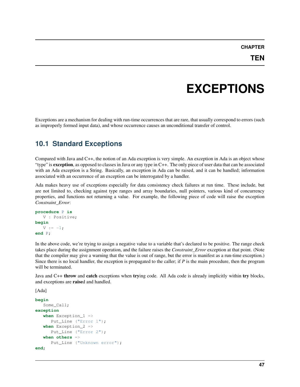**CHAPTER**

### **EXCEPTIONS**

<span id="page-51-0"></span>Exceptions are a mechanism for dealing with run-time occurrences that are rare, that usually correspond to errors (such as improperly formed input data), and whose occurrence causes an unconditional transfer of control.

### <span id="page-51-1"></span>**10.1 Standard Exceptions**

Compared with Java and C++, the notion of an Ada exception is very simple. An exception in Ada is an object whose "type" is **exception**, as opposed to classes in Java or any type in C++. The only piece of user data that can be associated with an Ada exception is a String. Basically, an exception in Ada can be raised, and it can be handled; information associated with an occurrence of an exception can be interrogated by a handler.

Ada makes heavy use of exceptions especially for data consistency check failures at run time. These include, but are not limited to, checking against type ranges and array boundaries, null pointers, various kind of concurrency properties, and functions not returning a value. For example, the following piece of code will raise the exception *Constraint\_Error*:

```
procedure P is
   V : Positive;
begin
   V : = -1;end P;
```
In the above code, we're trying to assign a negative value to a variable that's declared to be positive. The range check takes place during the assignment operation, and the failure raises the *Constraint\_Error* exception at that point. (Note that the compiler may give a warning that the value is out of range, but the error is manifest as a run-time exception.) Since there is no local handler, the exception is propagated to the caller; if *P* is the main procedure, then the program will be terminated.

Java and C++ throw and catch exceptions when trying code. All Ada code is already implicitly within try blocks, and exceptions are raised and handled.

```
begin
   Some_Call;
exception
   when Exception_1 =>
      Put_Line ("Error 1");
   when Exception_2 =>
      Put Line ("Error 2");
   when others =>
      Put_Line ("Unknown error");
end;
```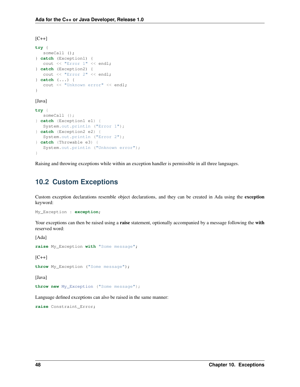$[C++]$ **try** { someCall (); } **catch** (Exception1) { cout << "Error 1" << endl; } **catch** (Exception2) { cout << "Error 2" << endl; } **catch** (...) { cout << "Unknown error" << endl; }

[Java]

```
try {
   someCall ();
} catch (Exception1 e1) {
   System.out.println ("Error 1");
} catch (Exception2 e2) {
  System.out.println ("Error 2");
} catch (Throwable e3) {
   System.out.println ("Unknown error");
}
```
Raising and throwing exceptions while within an exception handler is permissible in all three languages.

#### <span id="page-52-0"></span>**10.2 Custom Exceptions**

Custom exception declarations resemble object declarations, and they can be created in Ada using the exception keyword:

```
My_Exception : exception;
```
Your exceptions can then be raised using a raise statement, optionally accompanied by a message following the with reserved word:

[Ada]

```
raise My_Exception with "Some message";
```
 $[{\rm C++}]$ 

```
throw My_Exception ("Some message");
```
[Java]

**throw new** My\_Exception ("Some message");

Language defined exceptions can also be raised in the same manner:

**raise** Constraint\_Error;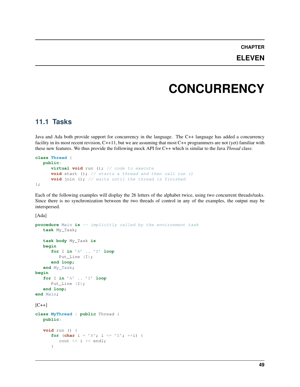**CHAPTER**

#### **ELEVEN**

### **CONCURRENCY**

#### <span id="page-53-1"></span><span id="page-53-0"></span>**11.1 Tasks**

Java and Ada both provide support for concurrency in the language. The C++ language has added a concurrency facility in its most recent revision, C++11, but we are assuming that most C++ programmers are not (yet) familiar with these new features. We thus provide the following mock API for C++ which is similar to the Java *Thread* class:

```
class Thread {
  public:
     virtual void run (); // code to execute
     void start (); // starts a thread and then call run ()
     void join (); // waits until the thread is finished
};
```
Each of the following examples will display the 26 letters of the alphabet twice, using two concurrent threads/tasks. Since there is no synchronization between the two threads of control in any of the examples, the output may be interspersed.

```
procedure Main is -- implicitly called by the environment task
   task My_Task;
   task body My_Task is
   begin
      for I in 'A' .. 'Z' loop
         Put Line (I);
      end loop;
   end My_Task;
begin
   for I in 'A' .. 'Z' loop
     Put_Line (I);
   end loop;
end Main;
[C++]class MyThread : public Thread {
   public:
   void run () {
      for (char i = 'A'; i <= 'Z'; ++i) {
         cout << i << endl;
      }
```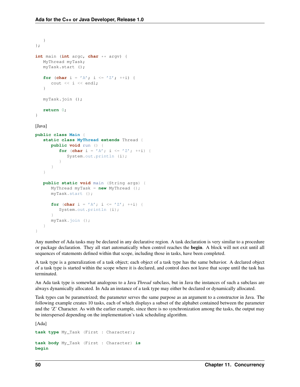```
}
};
int main (int argc, char ** argv) {
   MyThread myTask;
   myTask.start ();
   for (char i = 'A'; i <= 'Z'; ++i) {
      cout \langle \cdot \rangle i \langle \cdot \rangle endl;
   }
   myTask.join ();
   return 0;
}
[Java]
public class Main {
   static class MyThread extends Thread {
      public void run () {
          for (char i = 'A'; i <= 'Z'; ++i) {
             System.out.println (i);
          }
      }
   }
   public static void main (String args) {
      MyThread myTask = new MyThread ();
      myTask.start ();
      for (char i = 'A'; i <= 'Z'; ++i) {
          System.out.println (i);
       }
      myTask.join ();
   }
}
```
Any number of Ada tasks may be declared in any declarative region. A task declaration is very similar to a procedure or package declaration. They all start automatically when control reaches the begin. A block will not exit until all sequences of statements defined within that scope, including those in tasks, have been completed.

A task type is a generalization of a task object; each object of a task type has the same behavior. A declared object of a task type is started within the scope where it is declared, and control does not leave that scope until the task has terminated.

An Ada task type is somewhat analogous to a Java *Thread* subclass, but in Java the instances of such a subclass are always dynamically allocated. In Ada an instance of a task type may either be declared or dynamically allocated.

Task types can be parametrized; the parameter serves the same purpose as an argument to a constructor in Java. The following example creates 10 tasks, each of which displays a subset of the alphabet contained between the parameter and the 'Z' Character. As with the earlier example, since there is no synchronization among the tasks, the output may be interspersed depending on the implementation's task scheduling algorithm.

[Ada] **task type** My\_Task (First : Character); **task body** My\_Task (First : Character) **is begin**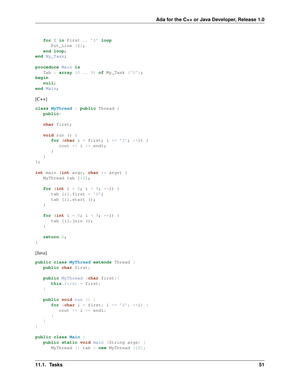```
for I in First .. 'Z' loop
     Put_Line (I);
   end loop;
end My_Task;
procedure Main is
   Tab : array (0 .. 9) of My_Task ('G');
begin
  null;
end Main;
[C++]class MyThread : public Thread {
  public:
   char first;
   void run () {
      for (char i = first; i \leq 'Z'; ++i) {
         cout << i << endl;
      }
   }
};
int main (int argc, char ** argv) {
   MyThread tab [10];
   for (int i = 0; i < 9; ++i) {
     tab [i].first = 'G';
     tab [i].start ();
   }
   for (int i = 0; i < 9; ++i) {
     tab [i].join ();
   }
   return 0;
}
[Java]
public class MyThread extends Thread {
  public char first;
   public MyThread (char first){
     this.first = first;
   }
   public void run () {
      for (char i = first; i \leq 'Z'; ++i) {
        cout << i << endl;
      }
   }
}
public class Main {
  public static void main (String args) {
      MyThread [] tab = new MyThread [10];
```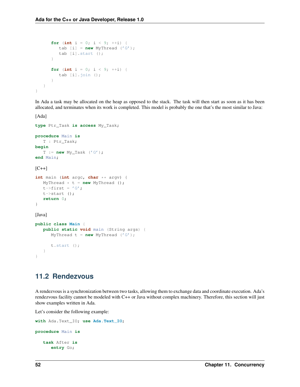```
for (int i = 0; i < 9; +i) {
         tab [i] = new MyThread ('G');
         tab [i].start ();
      }
      for (int i = 0; i < 9; ++i) {
         tab [i].join ();
      }
   }
}
```
In Ada a task may be allocated on the heap as opposed to the stack. The task will then start as soon as it has been allocated, and terminates when its work is completed. This model is probably the one that's the most similar to Java:

[Ada]

```
type Ptr_Task is access My_Task;
procedure Main is
   T : Ptr_Task;
begin
   T := new My_Task ('G');
end Main;
[C++]int main (int argc, char ** argv) {
   MyThread * t = new MyThread();
   t->first = 'G';
   t->start ();
   return 0;
}
```
[Java]

```
public class Main {
   public static void main (String args) {
      MyThread t = new MyThread ('G');
      t.start ();
   }
}
```
#### <span id="page-56-0"></span>**11.2 Rendezvous**

A rendezvous is a synchronization between two tasks, allowing them to exchange data and coordinate execution. Ada's rendezvous facility cannot be modeled with C++ or Java without complex machinery. Therefore, this section will just show examples written in Ada.

Let's consider the following example:

```
with Ada.Text_IO; use Ada.Text_IO;
procedure Main is
   task After is
      entry Go;
```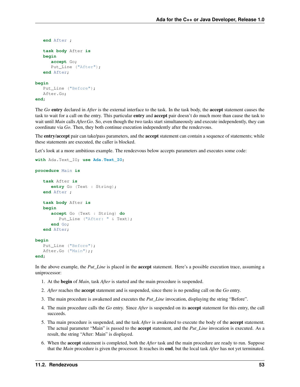```
end After ;
   task body After is
   begin
      accept Go;
      Put_Line ("After");
   end After;
begin
   Put_Line ("Before");
   After.Go;
```

```
end;
```
The *Go* entry declared in *After* is the external interface to the task. In the task body, the accept statement causes the task to wait for a call on the entry. This particular **entry** and **accept** pair doesn't do much more than cause the task to wait until *Main* calls *After.Go*. So, even though the two tasks start simultaneously and execute independently, they can coordinate via *Go*. Then, they both continue execution independently after the rendezvous.

The entry/accept pair can take/pass parameters, and the accept statement can contain a sequence of statements; while these statements are executed, the caller is blocked.

Let's look at a more ambitious example. The rendezvous below accepts parameters and executes some code:

```
with Ada.Text_IO; use Ada.Text_IO;
```

```
procedure Main is
```

```
task After is
   entry Go (Text : String);
end After ;
task body After is
begin
   accept Go (Text : String) do
      Put_Line ("After: " & Text);
   end Go;
end After;
```
#### **begin**

```
Put_Line ("Before");
  After.Go ("Main");;
end;
```
In the above example, the *Put\_Line* is placed in the accept statement. Here's a possible execution trace, assuming a uniprocessor:

- 1. At the begin of *Main*, task *After* is started and the main procedure is suspended.
- 2. *After* reaches the accept statement and is suspended, since there is no pending call on the *Go* entry.
- 3. The main procedure is awakened and executes the *Put\_Line* invocation, displaying the string "Before".
- 4. The main procedure calls the *Go* entry. Since *After* is suspended on its accept statement for this entry, the call succeeds.
- 5. Tha main procedure is suspended, and the task *After* is awakened to execute the body of the accept statement. The actual parameter "Main" is passed to the accept statement, and the *Put\_Line* invocation is executed. As a result, the string "After: Main" is displayed.
- 6. When the accept statement is completed, both the *After* task and the main procedure are ready to run. Suppose that the *Main* procedure is given the processor. It reaches its end, but the local task *After* has not yet terminated.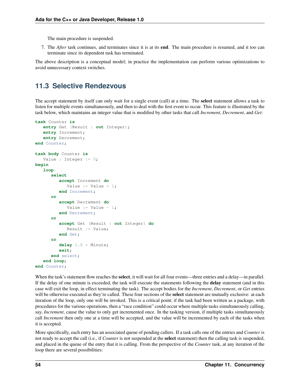The main procedure is suspended.

7. The *After* task continues, and terminates since it is at its end. The main procedure is resumed, and it too can terminate since its dependent task has terminated.

The above description is a conceptual model; in practice the implementation can perform various optimizations to avoid unnecessary context switches.

#### <span id="page-58-0"></span>**11.3 Selective Rendezvous**

The accept statement by itself can only wait for a single event (call) at a time. The **select** statement allows a task to listen for multiple events simultaneously, and then to deal with the first event to occur. This feature is illustrated by the task below, which maintains an integer value that is modified by other tasks that call *Increment*, *Decrement*, and *Get*:

```
task Counter is
   entry Get (Result : out Integer);
   entry Increment;
   entry Decrement;
end Counter;
task body Counter is
  Value : Integer := 0;
begin
   loop
      select
         accept Increment do
            Value := Value +1;
         end Increment;
      or
         accept Decrement do
            Value := Value -1;
         end Decrement;
      or
         accept Get (Result : out Integer) do
            Result := Value;
         end Get;
      or
         delay 1.0 * Minute;
         exit;
      end select;
   end loop;
end Counter;
```
When the task's statement flow reaches the **select**, it will wait for all four events—three entries and a delay—in parallel. If the delay of one minute is exceeded, the task will execute the statements following the **delay** statement (and in this case will exit the loop, in effect terminating the task). The accept bodies for the *Increment*, *Decrement*, or *Get* entries will be otherwise executed as they're called. These four sections of the **select** statement are mutually exclusive: at each iteration of the loop, only one will be invoked. This is a critical point; if the task had been written as a package, with procedures for the various operations, then a "race condition" could occur where multiple tasks simultaneously calling, say, *Increment*, cause the value to only get incremented once. In the tasking version, if multiple tasks simultaneously call *Increment* then only one at a time will be accepted, and the value will be incremented by each of the tasks when it is accepted.

More specifically, each entry has an associated queue of pending callers. If a task calls one of the entries and *Counter* is not ready to accept the call (i.e., if *Counter* is not suspended at the select statement) then the calling task is suspended, and placed in the queue of the entry that it is calling. From the perspective of the *Counter* task, at any iteration of the loop there are several possibilities: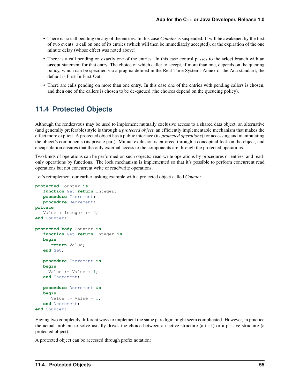- There is no call pending on any of the entries. In this case *Counter* is suspended. It will be awakened by the first of two events: a call on one of its entries (which will then be immediately accepted), or the expiration of the one minute delay (whose effect was noted above).
- There is a call pending on exactly one of the entries. In this case control passes to the select branch with an accept statement for that entry. The choice of which caller to accept, if more than one, depends on the queuing policy, which can be specified via a pragma defined in the Real-Time Systems Annex of the Ada standard; the default is First-In First-Out.
- There are calls pending on more than one entry. In this case one of the entries with pending callers is chosen, and then one of the callers is chosen to be de-queued (the choices depend on the queueing policy).

#### <span id="page-59-0"></span>**11.4 Protected Objects**

Although the rendezvous may be used to implement mutually exclusive access to a shared data object, an alternative (and generally preferable) style is through a *protected object*, an efficiently implementable mechanism that makes the effect more explicit. A protected object has a public interface (its *protected operations*) for accessing and manipulating the object's components (its private part). Mutual exclusion is enforced through a conceptual lock on the object, and encapsulation ensures that the only external access to the components are through the protected operations.

Two kinds of operations can be performed on such objects: read-write operations by procedures or entries, and readonly operations by functions. The lock mechanism is implemented so that it's possible to perform concurrent read operations but not concurrent write or read/write operations.

Let's reimplement our earlier tasking example with a protected object called *Counter*:

```
protected Counter is
   function Get return Integer;
   procedure Increment;
   procedure Decrement;
private
   Value : Integer := 0;
end Counter;
protected body Counter is
   function Get return Integer is
  begin
      return Value;
   end Get;
   procedure Increment is
   begin
     Value := Value +1;
   end Increment;
   procedure Decrement is
   begin
      Value := Value -1;
   end Decrement;
end Counter;
```
Having two completely different ways to implement the same paradigm might seem complicated. However, in practice the actual problem to solve usually drives the choice between an active structure (a task) or a passive structure (a protected object).

A protected object can be accessed through prefix notation: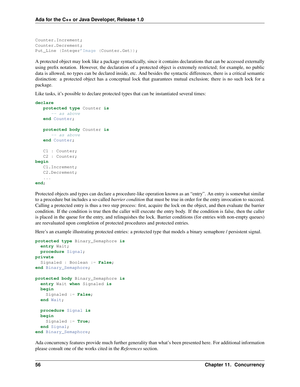```
Counter.Increment;
Counter.Decrement;
Put_Line (Integer'Image (Counter.Get));
```
A protected object may look like a package syntactically, since it contains declarations that can be accessed externally using prefix notation. However, the declaration of a protected object is extremely restricted; for example, no public data is allowed, no types can be declared inside, etc. And besides the syntactic differences, there is a critical semantic distinction: a protected object has a conceptual lock that guarantees mutual exclusion; there is no such lock for a package.

Like tasks, it's possible to declare protected types that can be instantiated several times:

```
declare
   protected type Counter is
      -- as above
   end Counter;
   protected body Counter is
      -- as above
   end Counter;
   C1 : Counter;
   C2 : Counter;
begin
   C1.Increment;
   C2.Decrement;
   ...
```
**end**;

Protected objects and types can declare a procedure-like operation known as an "entry". An entry is somewhat similar to a procedure but includes a so-called *barrier condition* that must be true in order for the entry invocation to succeed. Calling a protected entry is thus a two step process: first, acquire the lock on the object, and then evaluate the barrier condition. If the condition is true then the caller will execute the entry body. If the condition is false, then the caller is placed in the queue for the entry, and relinquishes the lock. Barrier conditions (for entries with non-empty queues) are reevaluated upon completion of protected procedures and protected entries.

Here's an example illustrating protected entries: a protected type that models a binary semaphore / persistent signal.

```
protected type Binary_Semaphore is
  entry Wait;
  procedure Signal;
private
  Signaled : Boolean := False;
end Binary_Semaphore;
protected body Binary_Semaphore is
  entry Wait when Signaled is
  begin
    Signaled := False;
  end Wait;
  procedure Signal is
  begin
    Signaled := True;
  end Signal;
end Binary_Semaphore;
```
Ada concurrency features provide much further generality than what's been presented here. For additional information please consult one of the works cited in the *References* section.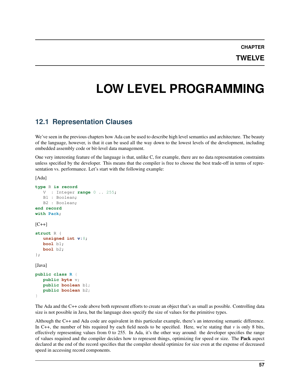**CHAPTER**

**TWELVE**

# <span id="page-61-0"></span>**LOW LEVEL PROGRAMMING**

#### <span id="page-61-1"></span>**12.1 Representation Clauses**

We've seen in the previous chapters how Ada can be used to describe high level semantics and architecture. The beauty of the language, however, is that it can be used all the way down to the lowest levels of the development, including embedded assembly code or bit-level data management.

One very interesting feature of the language is that, unlike C, for example, there are no data representation constraints unless specified by the developer. This means that the compiler is free to choose the best trade-off in terms of representation vs. performance. Let's start with the following example:

[Ada]

```
type R is record
   V : Integer range 0 .. 255;
  B1 : Boolean;
  B2 : Boolean;
end record
with Pack;
[C++]struct R {
   unsigned int v:8;
  bool b1;
   bool b2;
};
[Java]
public class R {
  public byte v;
  public boolean b1;
  public boolean b2;
}
```
The Ada and the C++ code above both represent efforts to create an object that's as small as possible. Controlling data size is not possible in Java, but the language does specify the size of values for the primitive types.

Although the C++ and Ada code are equivalent in this particular example, there's an interesting semantic difference. In C++, the number of bits required by each field needs to be specified. Here, we're stating that *v* is only 8 bits, effectively representing values from 0 to 255. In Ada, it's the other way around: the developer specifies the range of values required and the compiler decides how to represent things, optimizing for speed or size. The Pack aspect declared at the end of the record specifies that the compiler should optimize for size even at the expense of decreased speed in accessing record components.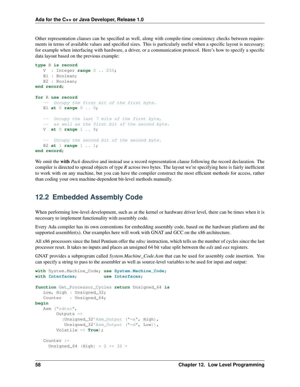Other representation clauses can be specified as well, along with compile-time consistency checks between requirements in terms of available values and specified sizes. This is particularly useful when a specific layout is necessary; for example when interfacing with hardware, a driver, or a communication protocol. Here's how to specify a specific data layout based on the previous example:

```
type R is record
  V : Integer range 0 .. 255;
  B1 : Boolean;
  B2 : Boolean;
end record;
for R use record
   -- Occupy the first bit of the first byte.
  B1 at 0 range 0 .. 0;
   -- Occupy the last 7 bits of the first byte,
   -- as well as the first bit of the second byte.
  V at 0 range 1 .. 8;
   -- Occupy the second bit of the second byte.
  B2 at 1 range 1 .. 1;
end record;
```
We omit the with *Pack* directive and instead use a record representation clause following the record declaration. The compiler is directed to spread objects of type *R* across two bytes. The layout we're specifying here is fairly inefficient to work with on any machine, but you can have the compiler construct the most efficient methods for access, rather than coding your own machine-dependent bit-level methods manually.

#### <span id="page-62-0"></span>**12.2 Embedded Assembly Code**

When performing low-level development, such as at the kernel or hardware driver level, there can be times when it is necessary to implement functionality with assembly code.

Every Ada compiler has its own conventions for embedding assembly code, based on the hardware platform and the supported assembler(s). Our examples here will work with GNAT and GCC on the x86 architecture.

All x86 processors since the Intel Pentium offer the *rdtsc* instruction, which tells us the number of cycles since the last processor reset. It takes no inputs and places an unsigned 64 bit value split between the *edx* and *eax* registers.

GNAT provides a subprogram called *System.Machine\_Code.Asm* that can be used for assembly code insertion. You can specify a string to pass to the assembler as well as source-level variables to be used for input and output:

```
with Interfaces; use Interfaces;
function Get_Processor_Cycles return Unsigned_64 is
  Low, High : Unsigned_32;
  Counter : Unsigned_64;
begin
  Asm ("rdtsc",
       Outputs =>
          (Unsigned_32'Asm_Output ("=a", High),
          Unsigned_32'Asm_Output ("=d", Low)),
       Volatile => True);
   Counter :=
    Unsigned_64 (High) * 2 ** 32 +
```
**with** System.Machine\_Code; **use System.Machine\_Code**;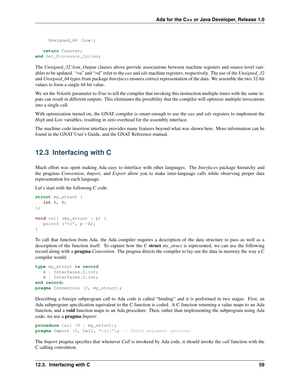```
Unsigned 64 (Low);
```

```
return Counter;
end Get_Processor_Cycles;
```
The *Unsigned\_32'Asm\_Output* clauses above provide associations between machine registers and source-level variables to be updated. "=a" and "=d" refer to the *eax* and *edx* machine registers, respectively. The use of the *Unsigned\_32* and *Unsigned\_64* types from package *Interfaces* ensures correct representation of the data. We assemble the two 32-bit values to form a single 64 bit value.

We set the *Volatile* parameter to *True* to tell the compiler that invoking this instruction multiple times with the same inputs can result in different outputs. This eliminates the possibility that the compiler will optimize multiple invocations into a single call.

With optimization turned on, the GNAT compiler is smart enough to use the *eax* and *edx* registers to implement the *High* and *Low* variables, resulting in zero overhead for the assembly interface.

The machine code insertion interface provides many features beyond what was shown here. More information can be found in the GNAT User's Guide, and the GNAT Reference manual.

#### <span id="page-63-0"></span>**12.3 Interfacing with C**

Much effort was spent making Ada easy to interface with other languages. The *Interfaces* package hierarchy and the pragmas *Convention*, *Import*, and *Export* allow you to make inter-language calls while observing proper data representation for each language.

Let's start with the following C code:

```
struct my_struct {
   int A, B;
};
void call (my_struct * p) {
   printf ("%d", p->A);
}
```
To call that function from Ada, the Ada compiler requires a description of the data structure to pass as well as a description of the function itself. To capture how the C struct *my\_struct* is represented, we can use the following record along with a pragma *Convention*. The pragma directs the compiler to lay out the data in memory the way a C compiler would.

```
type my_struct is record
   A : Interfaces.C.int;
   B : Interfaces.C.int;
end record;
pragma Convention (C, my_struct);
```
Describing a foreign subprogram call to Ada code is called "binding" and it is performed in two stages. First, an Ada subprogram specification equivalent to the C function is coded. A C function returning a value maps to an Ada function, and a void function maps to an Ada procedure. Then, rather than implementing the subprogram using Ada code, we use a pragma *Import*:

```
procedure Call (V : my_struct);
pragma Import (C, Call, "call"); -- Third argument optional
```
The *Import* pragma specifies that whenever *Call* is invokeed by Ada code, it should invoke the *call* function with the C calling convention.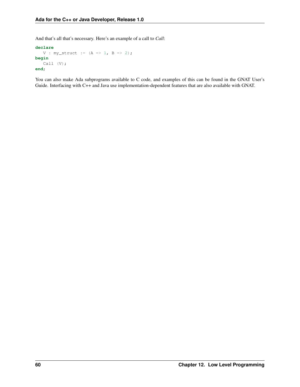And that's all that's necessary. Here's an example of a call to *Call*:

```
declare
   V : my_struct := (A \Rightarrow 1, B \Rightarrow 2);begin
   Call (V);
end;
```
You can also make Ada subprograms available to C code, and examples of this can be found in the GNAT User's Guide. Interfacing with C++ and Java use implementation-dependent features that are also available with GNAT.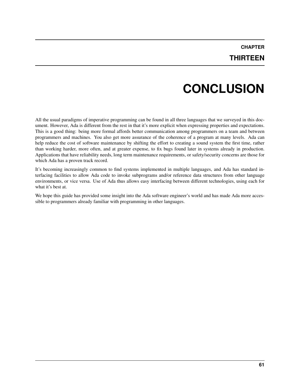# **CONCLUSION**

<span id="page-65-0"></span>All the usual paradigms of imperative programming can be found in all three languages that we surveyed in this document. However, Ada is different from the rest in that it's more explicit when expressing properties and expectations. This is a good thing: being more formal affords better communication among programmers on a team and between programmers and machines. You also get more assurance of the coherence of a program at many levels. Ada can help reduce the cost of software maintenance by shifting the effort to creating a sound system the first time, rather than working harder, more often, and at greater expense, to fix bugs found later in systems already in production. Applications that have reliability needs, long term maintenance requirements, or safety/security concerns are those for which Ada has a proven track record.

It's becoming increasingly common to find systems implemented in multiple languages, and Ada has standard interfacing facilities to allow Ada code to invoke subprograms and/or reference data structures from other language environments, or vice versa. Use of Ada thus allows easy interfacing between different technologies, using each for what it's best at.

We hope this guide has provided some insight into the Ada software engineer's world and has made Ada more accessible to programmers already familiar with programming in other languages.